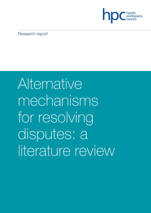

Research report

# Alternative mechanisms for resolving disputes: a literature review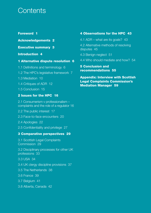# **Contents**

# **Foreword 1**

**Acknowledgements 2**

**Executive summary 3**

# **Introduction 4**

# **1 Alternative dispute resolution 6**

- 1.1 Definitions and terminology 6
- 1.2 The HPC's legislative framework 7
- 1.3 Mediation 10
- 1.4 Critiques of ADR 12
- 1.5 Conclusion 15

# **2 Issues for the HPC 16**

2.1 Consumerism v professionalism – complaints and the role of a regulator 16

2.2 The public interest 17

2.3 Face-to-face encounters 20

2.4 Apologies 22

2.5 Confidentiality and privilege 27

# **3 Comparative perspectives 29**

3.1 Scottish Legal Complaints Commission 29

3.2 Disciplinary processes for other UK professions 33

3.3 USA 34

- 3.4 UK clergy discipline provisions 37
- 3.5 The Netherlands 38
- 3.6 France 39
- 3.7 Belgium 41
- 3.8 Alberta, Canada 42

# **4 Observations for the HPC 43**

4.1 ADR – what are its goals? 43

4.2 Alternative methods of resolving disputes 45

- 4.3 Benign neglect 51
- 4.4 Who should mediate and how? 54

**5 Conclusion and recommendations 55**

**Appendix: Interview with Scottish Legal Complaints Commission's Mediation Manager 59**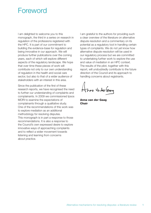# **Foreword**

I am delighted to welcome you to this monograph, the third in a series on research in regulation of the professions registered with the HPC. It is part of our commitment to building the evidence-base for regulation and being innovative in our approach. We will produce further publications over the coming years, each of which will explore different aspects of the regulatory landscape. We hope that over time these pieces of work will contribute not only to our own understanding of regulation in the health and social care sector, but also to that of a wider audience of stakeholders with an interest in this area.

Since the publication of the first of these research reports, we have recognised the need to further our understanding of complaints and complainants. In 2009 we commissioned Ipsos MORI to examine the expectations of complainants through a qualitative study. One of the recommendations of this work was to explore mediation as an additional methodology for resolving disputes. This monograph is in part a response to those recommendations. It is also a response to the Council's own expressed desire to explore innovative ways of approaching complaints and to reflect a wider movement towards listening and learning from concerns about practice.

I am grateful to the authors for providing such a clear overview of the literature on alternative dispute resolution and a commentary on its potential as a regulatory tool in handling certain types of complaints. We do not yet know how alternative dispute resolution will be used in our regulatory process but we are committed to undertaking further work to explore the use and value of mediation in an HPC context. The results of the pilot, together with this report, will undoubtedly contribute to the future direction of the Council and its approach to handling concerns about registrants.

Anna Varder Gaag

**Anna van der Gaag Chair**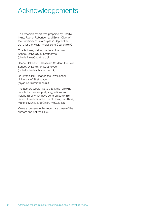# Acknowledgements

This research report was prepared by Charlie Irvine, Rachel Robertson and Bryan Clark of the University of Strathclyde in September 2010 for the Health Professions Council (HPC).

Charlie Irvine, Visiting Lecturer, the Law School, University of Strathclyde (charlie.irvine@strath.ac.uk)

Rachel Robertson, Research Student, the Law School, University of Strathclyde (rachel.robertson@strath.ac.uk)

Dr Bryan Clark, Reader, the Law School, University of Strathclyde (bryan.clark@strath.ac.uk)

The authors would like to thank the following people for their support, suggestions and insight, all of which have contributed to this review: Howard Gadlin, Carol Houk, Lois Kaye, Marjorie Mantle and Chiara McGoldrick.

Views expresses in this report are those of the authors and not the HPC.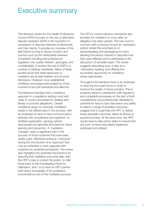# Executive summary

This literature review for the Health Professions Council (HPC) focuses on the use of alternative dispute resolution (ADR) in the resolution of complaints or disputes between professionals and their clients. It provides an overview of the field before turning to issues of policy and practice such as the relationship between complaints handling and professional regulation; the 'public interest'; apologies; and confidentiality. It reviews the use of ADR in a number of settings worldwide. Many of these studies show that initial responses to mediation are at best hesitant and at worst dismissive. However, once established, mediatory processes were judged by those involved to be both beneficial and effective.

The literature indicates that a mediatory approach in a regulatory setting could add value to current processes for dealing with fitness to practise allegations. Certain conditions apply: for example, mediation needs to be offered early in the process, with an emphasis on face-to-face communication between the complainant and registrant, to facilitate explanation, apology (where appropriate and genuine) and plans for future learning and prevention. A 'mediation manager' plays a significant part in the success of those schemes that have been widely used, effectively acting as 'champion' during the introduction of an approach that may be unfamiliar or even regarded with suspicion by potential participants. The review also highlights two potential mechanisms for ensuring that mediated outcomes align with the HPC's duty to protect the public: to refer these back to the Investigating Panel for ratification, and / or to have an HPC partner (with direct knowledge of the profession concerned) as part of the mediation process.

The HPC's current statutory framework also provides for mediation to occur after an allegation has been upheld. This has much in common with a process known as 'restorative justice' where the emphasis is on acknowledging and apologising for harm, allowing the person harmed to describe how they were affected and to participate in the discussion of remedial steps. The review suggests describing such a step as a 'restorative meeting' and offering this as another opportunity for mediation, where appropriate.

Throughout the literature there is an emphasis on learning from past errors in order to improve the quality of future practice. This is positively linked to satisfaction with regulatory and complaints processes on the part of both complainants and professionals. Mediation's potential for face-to-face discussion and ability to deliver a range of possible outcomes suggest that it could help the HPC to deliver these desirable outcomes within its fitness to practise process. At the same time, the HPC would need to take active steps to ensure that any such scheme was clearly explained, publicised and utilised.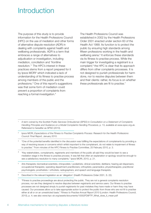# **Introduction**

The purpose of this study is to provide information for the Health Professions Council (HPC) on the use of mediation and other forms of alternative dispute resolution (ADR) in dealing with complaints against health and wellbeing professionals. ADR is a term that embraces a range of alternatives to adjudication or investigation, including mediation, conciliation and 'frontline resolution.' <sup>1</sup> The HPC's interest in these practices stems from a report prepared for it by Ipsos MORI<sup>2</sup> which indicated a lack of understanding of its fitness to practise process among members of the public and the professions. <sup>3</sup> One of this report's suggestions was that some form of mediation could prevent a proportion of complaints from reaching a formal investigation. 4

The Health Professions Council was established in 2002 by the Health Professions Order 2001 enacted under section 60 of the Health Act 1999. Its function is to protect the public by ensuring high standards among fifteen professions working in the health and wellbeing arena. <sup>5</sup> It enforces these standards via its fitness to practise process. While the main trigger for investigating a registrant is a complaint, <sup>6</sup> the HPC is clear that its approach differs from other complaints processes. It is not designed to punish professionals for harm done, nor to resolve disputes between them and their clients: rather, its focus is on whether these professionals are fit to practise.<sup>7</sup>

<sup>2</sup> Ipsos MORI, *Expectations of the Fitness to Practise Complaints Process: Research for the Health Professions Council: Final Report,* January 2010.

<sup>3</sup> "One of the potential benefits identified in the discussion was fulfilling the expectations of complainants by providing a way of resolving issues or concerns which whilst important to the complainant, do not relate to impairment of fitness to practise." From minutes of the HPC Fitness to Practise Committee, 25 February 2010, p. 3.

<sup>4</sup> "Key stakeholders, complainants, registrants and members of the public all said they would be keen to see a mediation stage in the fitness to practise process. It was felt that often an explanation or apology would be enough to see a satisfactory resolution to many complaints." Ipsos MORI, 2010, p. 21.

<sup>5</sup> Arts therapists; biomedical scientists; chiropodists / podiatrists; clinical scientists; dietitians; hearing aid dispensers; occupational therapists; operating department practitioners; orthoptists; paramedics; physiotherapists; practitioner psychologists; prosthetists / orthotists; radiographers; and speech and language therapists.

Described in the relevant legislation as an 'allegation' (Health Professions Order 2001, S. 22).

<sup>1</sup> A term coined by the Scottish Public Services Ombudsman (SPSO) in *Consultation on a Statement of Complaints Handling Principles and Guidance on a Model Complaints Handling Procedure,* p. 13, available at www.spso.org.uk. Referrered to hereafter as SPSO (2010).

<sup>7</sup> "Fitness to practise proceedings are about protecting the public. They are not a general complaints resolution process, nor are they designed to resolve disputes between registrants and service users. Our fitness to practise processes are not designed simply to punish registrants for past mistakes they have made or harm they may have caused. Our processes allow us to take appropriate action to protect the public from those who are not fit to practise either at all or on an unrestricted basis." *Fitness to Practise Annual Report 2010* (London: Health Professions Council, 2010), p. 4; see also www.hpc-uk.org/assets/documents/10002FD8FTP\_What\_does\_it\_mean.pdf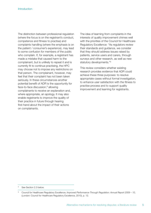The distinction between professional regulation (where the focus is on the registrant's conduct, competence and fitness to practise) and complaints handling (where the emphasis is on the patient / consumer's experience), may lead to some confusion for members of the public who complain. If, for example, a registrant has made a mistake that caused harm to the complainant, but is unlikely to repeat it and is currently fit to continue practising, the HPC may choose not to impose any restrictions on that person. The complainant, however, may feel that their complaint has not been taken seriously. In these circumstances another potential benefit of ADR is the opportunity for face-to-face discussion, <sup>8</sup> allowing complainants to receive an explanation and, where appropriate, an apology. It may also enable registrants to improve the quality of their practice in future through hearing first-hand about the impact of their actions on complainants.

The idea of learning from complaints in the interests of quality improvement chimes well with the priorities of the Council for Healthcare Regulatory Excellence: "As regulators review their standards and guidance, we consider that they should address issues raised by patients, service users and carers, through surveys and other research, as well as new statutory developments."<sup>9</sup>

This review considers whether existing research provides evidence that ADR could achieve these three purposes: to resolve appropriate cases without formal investigation, to enhance user satisfaction with the fitness to practise process and to support quality improvement and learning for registrants.

See Section 2.3 below.

<sup>9</sup> Council for Healthcare Regulatory Excellence, *Improved Performance Through Regulation: Annual Report 2009 – 10*, (London: Council for Healthcare Regulatory Excellence, 2010), p. 12.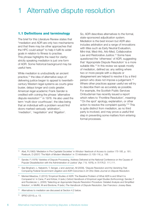# 1 Alternative dispute resolution

### **1.1 Definitions and terminology**

The brief for this Literature Review states that "mediation and ADR are only two mechanisms and that there may be other approaches that the HPC could adopt" to help it fulfil its wider goals in relation to fitness to practise. This phrase highlights the need for clarity: strictly speaking mediation is just one form of ADR. Some historical background may be useful here.

While mediation is undoubtedly an ancient practice, <sup>10</sup> the idea of alternative ways of delivering justice began to appeal to twentiethcentury Western legal systems as courts grew busier, delays longer and costs greater. American legal academic Frank Sander is credited with coining the phrase 'alternative dispute resolution'<sup>11</sup> in 1976. He also used the term 'multi-door courthouse'; the idea being that an individual with a problem would find doors marked variously 'arbitration', 'mediation', 'negotiation' and 'litigation'.

So, ADR describes alternatives to the formal, state-sponsored adjudication system. Mediation is the best known but ADR also includes arbitration and a range of innovations with titles such as Early Neutral Evaluation, Mini-trial, Med-Arb, Arb-Med, Collaborative Law and Restorative Justice. <sup>12</sup> Some have questioned the 'otherness' of ADR, suggesting that 'Appropriate Dispute Resolution' is a more suitable title.<sup>13</sup> In this review we speak mostly of mediation, defined as: any setting where two or more people with a dispute or disagreement are helped to resolve it by a third person who does not impose a judgement. 14 Where other practices appear useful we will try to describe them as accurately as possible. For example, the Scottish Public Services Ombudsman has recently issued a report which refers to 'Frontline Resolution', meaning: "'On the spot' apology, explanation, or other action to resolve the complaint quickly."15 This is quite distinct from mediation, as no third party is involved, and may prove a useful first step in preventing some matters from entering formal processes.

<sup>10</sup> Abel, R (1983) 'Mediation in Pre-Capitalist Societies' in *Windsor Yearbook of Access to Justice 175-185*, p. 181; Roebuck, D (2007) 'The Myth of Modern Mediation' in *73 Arbitration* (1) 105-116, p. 106.

<sup>11</sup> Sander, F (1976) 'Varieties of Dispute Processing, Address Delivered at the National Conference on the Causes of Popular Dissatisfaction with the Administration of Justice' (Apr. 7-9, 1976), in *70 F.R.D. 111,111*.

<sup>12</sup> See Bingham, L, Nabatchi, T, Senger, J and Jackman, M (2009), 'Dispute Resolution and the Vanishing Trial: Comparing Federal Government Litigation and ADR Outcomes in *24 Ohio State Journal on Dispute Resolution*.

<sup>&</sup>lt;sup>13</sup> Menkel-Meadow, C (2010) 'Empirical Studies of ADR: The Baseline Problem of What ADR is and What It is Compared to' in Cane, P and Kritzer, H (eds.) *Oxford Handbook of Empirical Legal Studies* (forthcoming); Sander, F and Rozdeiczer, L, (2005) 'Selecting an Appropriate Dispute Resolution Procedure: Detailed Analysis and Simplified Solution', in Moffitt, M and Bordone, R (eds.) *The Handbook of Dispute Resolution*, San Francisco: Jossey-Bass.

<sup>14</sup> Alternatives to mediation are discussed at Section 4.2 below.

<sup>15</sup> SPSO (2010), p. 13.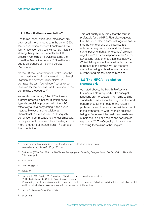#### **1.1.1 Conciliation or mediation?**

The terms 'conciliation' and 'mediation' are often used interchangeably. In the early 1990s family conciliation services transformed into family mediation services without significantly altering their practice. Recently the UK Disability Conciliation Service became the Equalities Mediation Service. <sup>16</sup> Nonetheless, subtle differences of meaning persist. Platt states:

"In the UK the Department of Health uses the word 'mediation' primarily in relation to clinical litigation and personal injury claims. In contrast, the term 'conciliation' tends to be reserved for the process used in relation to the complaints procedure."17

As we discuss below,<sup>18</sup> the HPC's fitness to practise process is neither litigation nor a typical complaints process, with the HPC effectively a third party acting in the public interest. However, some additional characteristics are also said to distinguish conciliation from mediation: a longer timescale, no requirement for face-to face meetings and a more "proactive or interventionist"19 approach than mediation.

This last quality may imply that the term is preferable for the HPC. Platt also suggests that the conciliator in some settings will ensure that the rights of one of the parties are reflected in any proposals, and that these rights (patients' rights, for example) are nonnegotiable. <sup>20</sup> This corresponds to the 'normadvocating' style of mediation (see below). While Platt's perspective is valuable, for the purposes of this review we use the term mediation owing to its wide international currency and broadly agreed meaning.

# **1.2 The HPC's legislative framework**

As noted above, the Health Professions Council is a statutory body. <sup>21</sup> Its principal functions are "to establish from time to time standards of education, training, conduct and performance for members of the relevant professions and to ensure the maintenance of those standards", <sup>22</sup> with the main objective being to "safeguard the health and well-being of persons using or needing the services of registrants."23 The Council's primary tool in achieving these aims is the Register.

<sup>16</sup> See www.equalities-mediation.org.uk; for a thorough explanation of its work see www.adrnow.org.uk/go/SubPage\_38.html

<sup>18</sup> At Section 2.1.

<sup>19</sup> Platt (2008) p. 10.

<sup>20</sup> *Ibid*, p. 11.

<sup>21</sup> Health Act 1999, Section 60: Regulation of health care and associated professions (1) Her Majesty may by Order in Council make provision – (b) regulating any other profession which appears to Her to be concerned (wholly or partly) with the physical or mental health of individuals and to require regulation in pursuance of this section.

<sup>22</sup> Health Professions Order 2001 s.3(2).

<sup>23</sup> *Ibid*, s.3(4).

<sup>17</sup> Platt, A. W. (2008) *Conciliation in Healthcare: Managing and Resolving Complaints and Conflict* (Oxford: Radcliffe Publishing), p. 7.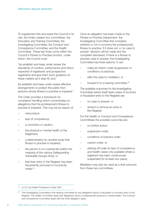To supplement this and assist the Council in its role, the Order creates four committees: the Education and Training Committee; the Investigating Committee; the Conduct and Competence Committee; and the Health Committee. These last three come within the Council's Fitness to Practise function, under which, the Council must:

"(a) establish and keep under review the standards of conduct, performance and ethics expected of registrants and prospective registrants and give them such guidance on these matters as it sees fit; and

(b) establish and keep under review effective arrangements to protect the public from persons whose fitness to practise is impaired."

The Order provides a framework for complaints handling which concentrates on allegations that the professional's fitness to practise is impaired. This may be by reason of:

- misconduct;
- lack of competence;
- a conviction or caution;
- the physical or mental health of the Registrant;
- a determination by another body that fitness to practise is impaired;
- the person is on a barred list (within the meaning of the various Safeguarding Vulnerable Groups Acts); or
- that their entry in the Register has been fraudulently procured or incorrectly made.<sup>24</sup>

Once an allegation has been made to the Fitness to Practise Department, the Investigating Committee first considers whether or not it concerns the professional's fitness to practise. If it does not, a 'no case to answer' decision will be made and the complaint dismissed. If there is a fitness to practise case to answer, the Investigating Committee has three options. It can:

- make an interim order (suspension or conditions of practice);
- refer the case to mediation; or
- forward it to a hearing committee.<sup>25</sup>

The available outcomes for the Investigating Committee (which itself hears cases of incorrect or fraudulent entry to the Register) are:

- no case to answer; or
- amend or remove an entry in the Register.

For the Health or Conduct and Competence Committees the possible outcomes are:

- no further action;
- suspension order;
- conditions of practice order;
- caution order; or
- striking-off order (in lack of competence and health cases only available where a registrant has been continuously suspended for at least two years).

Mediation may also be used as a final outcome from these two committees.

<sup>24</sup> s.21(1) (a) Health Professions Order 2001.

The Investigating Committee is the hearing committee for any allegations about a fraudulent or incorrect entry to the Register. The Health Committee deals with allegations about a professional's physical or mental health. The Conduct and Competence Committee deals with the other allegation types.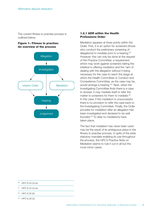The current fitness to practise process is outlined below.

#### **Figure 1– Fitness to practise: An overview of the process**



#### **1.2.1 ADR within the Health Professions Order**

Mediation appears at three points within the Order. First, it is an option for screeners (those who conduct the preliminary screening of allegations) to mediate prior to a hearing.<sup>26</sup> However, this can only be done at the request of the Practice Committee, a requirement which may work against screeners taking the initiative in offering mediation and the "aim of dealing with the allegation without it being necessary for the case to reach the stage at which the Health Committee or Conduct and Competence Committee, as the case may be, would arrange a hearing."27 Next, when the Investigating Committee finds there is a case to answer, it may mediate itself or refer the matter to screeners for them to mediate.<sup>28</sup> In this case, if the mediation is unsuccessful there is no provision to refer the case back to the Investigating Committee. Finally, the Order provides for mediation after an allegation has been investigated and declared to be well founded. <sup>29</sup> To date no mediations have taken place.

The fact that mediation has never been used may be the result of its ambiguous place in the fitness to practise process. In spite of the wide statutory mandate enabling its use throughout the process, the HPC's Practice Note on Mediation seems to rule it out in all but the most minor cases:

- <sup>26</sup> HPO S.24 (3) (d).
- <sup>27</sup> HPO S.24 (3) (d).
- <sup>28</sup> HPO S.26 (6).
- <sup>29</sup> HPO S.29 (3).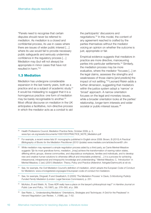"Panels need to recognise that certain disputes should never be referred to mediation. As mediation is a closed and confidential process, its use in cases where there are issues of wider public interest […] where its use would fail to provide necessary public safeguards and seriously undermine confidence in the regulatory process […] Mediation may (but will not always) be appropriate in minor cases that have not resulted in harm."30

#### **1.3 Mediation**

Mediation has undergone considerable expansion in the last twenty years, both as a practice and as a subject of academic study.<sup>31</sup> It would be misleading to suggest that it is a homogenous practice: one form of mediation may be barely recognisable to another.<sup>32</sup> Most official discourse on mediation in the UK anticipates a facilitative, non-directive process in which the mediator acts as a conduit to aid

the participants' discussions and negotiations. <sup>33</sup> In this model, the content of any agreement reached is crafted by the parties themselves without the mediator voicing an opinion on whether the outcome is just, appropriate or fair.

Empirical evidence suggests that mediators in practice are more directive, manoeuvring parties into particular settlements. <sup>34</sup> Similarly, the mediation process may be more evaluative, where the mediator "focuses [...] on the legal claims, assesses the strengths and weaknesses of those claims [and predicts] the impact of not settling."35 Leonard Riskin adds a further dimension, suggesting that mediators within the justice system adopt a 'narrow' or 'broad' approach. A narrow orientation focuses on the legal and monetary issues. while a broader orientation looks at the parties' relationship, longer-term interests and wider societal or public-interest issues.<sup>36</sup>

<sup>&</sup>lt;sup>30</sup> Health Professions Council, Mediation Practice Note, October 2009, p. 3, www.hpc-uk.org/assets/documents/10001DDCPRACTICE\_NOTE\_Mediation.pdf

<sup>31</sup> For example, a recent review lists 91 monographs published in English since 2008: Brown, B (2010) *A Practical Bibliography of Books for the Mediation Practitioner (2010 Update)* www.mediate.com/articles/brownB1.cfm

<sup>&</sup>lt;sup>32</sup> While mediation may represent a simple negotiation process aided by a third party, as Carrie Menkel-Meadow suggests "[i]n its most grandiose forms, mediation...[may] achieve the transformation of warring nation states, differing ethnic groups, diverse communities, and disputatious workplaces, families and individuals, and to develop new and creative human solutions to otherwise difficult and intractable problems[ …] it is a process for achieving interpersonal, intrapersonal and intrapsychic knowledge and understanding." Menkel-Meadow, C, 'Introduction' in Menkel Meadow, C (ed.) (2001) *Mediation: Theory, Policy and Practice* (Aldershot: Ashgate/Dartmouth) at xiii-xiv.

<sup>33</sup> See, for example, the Civil Mediation Council's definition of mediation, which adopts the European Code of Conduct for Mediators: www.cmcregistered.org/pages/3/european-code-of-conduct-for-mediators-

<sup>34</sup> See, for example, Dingwall, R and Greatbatch, D (2000) 'The Mediation Process' in Davis, G *Monitoring Publicly Funded Family Mediation* (London: Legal Services Commission), p. 251.

<sup>35</sup> McAdoo, B and Welsh, N, 'Does ADR really have a place on the lawyer's philosophical map?' in *Hamline Journal on Public Law and Policy*, 18 (1997), pp. 376–393, at p. 389.

<sup>36</sup> See Riskin, L, 'Understanding Mediators' Orientations, Strategies and Techniques: A Grid for the Perplexed' in *Harvard Negotiation Law Review*, 1, (1996), pp. 7–52.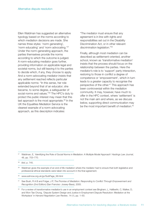Ellen Waldman has suggested an alternative typology based on the norms according to which mediation decisions are made. She names three styles: 'norm generating', 'norm educating' and 'norm advocating.' 37 Under the norm-generating approach, the parties themselves provide the norms according to which the outcome is judged. A norm-educating mediator goes further, providing information on applicable legal and societal norms, but still leaving it to the parties to decide which, if any, they choose to apply. And a norm-advocating mediator insists that any settlement reached reflects particular applicable norms: "In this sense, her role extended beyond that of an educator; she became, to some degree, a safeguarder of social norms and values."<sup>38</sup> The HPC's duty to protect the public interest may mean that this last approach is the most appropriate.<sup>39</sup> In the UK the Equalities Mediation Service is the clearest example of a norm-advocating approach, as this description indicates:

"The mediator must ensure that any agreement is in line with rights and responsibilities set out in the Disability Discrimination Act, or in other relevant discrimination legislation."40

Finally, although most mediation can be described as settlement-oriented, another school, known as 'transformative mediation' insists that the process should focus on the relationship between the parties. Here the mediator's role is to 'support' party interaction, restoring to those in conflict a degree of competence or 'empowerment', which in turn leads to a greater capacity to recognise the perspective of the other. <sup>41</sup> This approach has been controversial within the mediation community. It may, however, have much to offer in the HPC context, where 'settlement' is not the main aim and where, as we discuss below, supporting direct communication may be the most important benefit of mediation.<sup>42</sup>

<sup>40</sup> www.adrnow.org.uk/go/SubPage\_38.html

<sup>41</sup> See Bush, R A B and Folger, J P, *The Promise of Mediation: Responding to Conflict Through Empowerment and Recognition (2nd Edition)* (San Franciso: Jossey-Bass), 2005.

<sup>37</sup> Waldman, E, 'Identifying the Role of Social Norms in Mediation: A Multiple Model Approach' *Hastings Law Journal*, 48, pp. 703–770.

<sup>38</sup> *Ibid*, p. 745.

<sup>39</sup> Waldman gives the example of an end of life mediation where the mediator had to ensure that both legislative and professional ethical standards were taken into account in the final agreement.

<sup>42</sup> For a review of transformative mediation's use in an employment context see Bingham, L, Hallberlin, C, Walker, D, and Won-Tae Chung, 'Dispute System Design and Justice in Employment Dispute Resolution: Mediation at the Workplace' in *Harvard Negotiation Law Review*, 14 (1), pp. 1–50.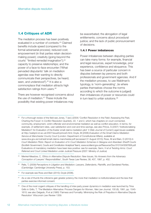# **1.4 Critiques of ADR**

The mediation process has been positively evaluated in a number of contexts. <sup>43</sup> Claimed benefits include speed (compared to the formal adversarial process); reduced cost; empowerment (in that parties retain decisionmaking power); creativity (going beyond the courts' "limited remedial imagination"); 44 capacity to preserve relationships; and the power of a face-to-face encounter ("What pervaded disputants' talk on mediation agendas was their wanting to directly communicate their perspectives, be heard, seen, and understood"). <sup>45</sup> It is also a commonplace that mediation attracts high satisfaction ratings from users.<sup>46</sup>

There are however recognised concerns about the use of mediation. <sup>47</sup> These include the possibility that existing power imbalances may

be exacerbated; the abrogation of legal entitlements; concerns about procedural justice; and the lack of public pronouncement of decisions.

#### **1.4.1 Power imbalances**

Power imbalances between disputing parties can take many forms: for example, financial and legal resources, expert knowledge, prior experience, confidence and eloquence. This has been a source of particular concern in disputes between lay persons and both professionals and government agencies. And if the mediation process, to use Waldman's typology, is 'norm-generating', (ie where parties themselves choose the norms according to which the outcome is judged) then imbalances of power or resources could in turn lead to unfair solutions.<sup>48</sup>

43 For a thorough review of the field see Jones, T (ed.) (2004) 'Conflict Resolution in the Field: Assessing the Past, Charting the Future' in *Conflict Resolution Quarterly*, 22, 1 and 2, which has chapters on court connected, community, employment, victim-offender and environmental mediation as well as conflict education. In terms, for example, of settlement rates, user satisfaction and cost and time savings, see also Prince, S (2007) 'Institutionalising Mediation? An Evaluation of the Exeter small claims mediation pilot' *5 Web Journal of Current Legal Issues* available at http://webjcli.ncl.ac.uk/2007/issue5/prince5.html; Doyle, M (2006) *Evaluation of the Small Claims Mediation Service at Manchester County Court* (London: Department of Constitutional Affairs), available at www.dca.gov.uk/civil/adr/small-claims-manchester.pdf (accessed 31 August 2010); Ross, M and Bain, D (2010) *In* Court Mediation Pilots: Report on Evaluation of In Court Mediation Schemes in Glasgow and Aberdeen Sheriff Courts (Scottish Government, Courts and Constitution Analytical Team), www.scotland.gov.uk/Resource/Doc/310104/0097858.pdf. Evaluations of mandatory mediation have been less positive: see for example, Genn, H *et al Twisting Arms: Court Referred and Court Linked Mediation under Judicial Pressure* (2007: Ministry of Justice)

- <sup>44</sup> Menkel-Meadow, C, '*Ethics in Alternative Dispute Resolution: New Issues, No Answers from the Adversary Conception of Lawyers' Responsibilities*', South Texas Law Review, 38, 407, 1997, p. 452.
- <sup>45</sup> Relis, T, (2009) *Perceptions in Litigation and Mediation: Lawyers, Defendants, Plaintiffs, and Gendered Parties*, (Cambridge: Cambridge University Press), p. 153.
- <sup>46</sup> For example see Ross and Bain (2010); Doyle (2006).
- As a rule of thumb the criticisms gain greater potency the more that mediation is institutionalised and the less that parties exercise informed consent.

<sup>&</sup>lt;sup>48</sup> One of the most cogent critiques of the handling of inter-party power dynamics in mediation was launched by Trina Grillo in Grillo, T, 'The Mediation Alternative: Process Dangers for Women, *Yale Law Journal*, 100 (6), 1991, pp. 1545- 1610; see also Delgado, R et al (1985) 'Fairness and Formality: Minimizing the Risk of Prejudice in Alternative Dispute Resolution' *Wisconsin Law Review* 1359.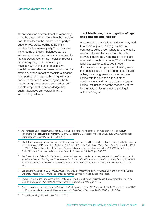Given mediation's commitment to impartiality, it can be argued that there is little the mediator can do to alleviate the impact of one party's superior resources, leading to potential injustice for the weaker party. <sup>49</sup> On the other hand, some of these imbalances can be addressed where both parties have access to legal representation or the mediation process is more explicitly 'norm educating' or advocating. <sup>50</sup> Even standard facilitative mediation may alleviate power imbalances, for example, by the impact of mediators' treating both parties with respect, listening with care, and such matters as controlling how both parties are greeted, seated and addressed. 51 It is also important to acknowledge that such imbalances can persist in formal adjudicatory settings.

#### **1.4.2 Mediation, the abrogation of legal entitlements and 'justice'**

Another critique holds that mediation may lead to a denial of justice. <sup>52</sup> It argues that, in contrast to adjudication where an authoritative neutral judge renders a decision based on relevant legal norms, in mediation claims are reframed through a 'harmony'<sup>53</sup> lens into nonlegal disputes to be resolved through discussion and compromise. <sup>54</sup> Leaving aside the nuanced issue of the imperfect application of law, <sup>55</sup> such arguments squarely equate justice with the law and rule out other considerations and norms as barometers of justice. Yet justice is not the monopoly of the law; in fact, parties may not regard legal outcomes as just.

- <sup>52</sup> See generally Auerbach, J. S (1983) *Justice Without Law? Resolving Disputes Without Lawyers* (New York: Oxford University Press;Abel, R (1984) *The Politics of Informal Justice* New York: Academic Press.
- 53 Nader, L, 'Controlling Processes in the Practices of Law: Hierarchy and Pacification in the Movement to Re-Form Dispute Ideology' in *Ohio State Journal of Dispute Resolution*, 9, 1993, pp. 1–25.
- <sup>54</sup> See, for example, the discussion in Genn (note 49 above) at pp. 114–21; Brunsdon-Tulley, M 'There is an 'A' in 'ADR' but Does Anybody Know What It Means Anymore?' *Civil Justice Quarterly*, 28 (2), 2009, pp. 218–36.

<sup>55</sup> For an illuminating discussion see Subrin (2002).

<sup>49</sup> As Professor Dame Hazel Genn colourfully remarked recently, "[t]he outcome of mediation is not about **just** settlement, it is **just about settlement**.", Genn, H, Judging Civil Justice: *The Hamlyn Lectures 2008* (Cambridge: Cambridge University Press, 2010) at p. 117.

<sup>&</sup>lt;sup>50</sup> Albeit that such an approach by the mediator may appear biased and lead to a lack of perceived impartiality – see for example Kovach, K K, 'Mapping Mediation: The Risks of Riskin's Grid' *Harvard Negotiation Law Review*,3, 71, 1998, pp. 71–110. For a discussion of the issue of power imbalances in mediation, see Irvine, C (2009) Mediation and Social Norms: A Response to Dame Hazel Genn' in *Family Law 39*, 2009, pp. 352–57.

See Davis, A, and Salem, R, 'Dealing with power imbalances in mediation of interpersonal disputes' in Lemmon, J (ed.) *Procedures for Guiding the Divorce Mediation Process* (San Francisco: Jossey-Bass, 1984); Subrin, S (2002) 'A traditionalist looks at mediation: It's here to stay and much better than I thought' *3 Nevada Law Journal*, pp. 196- 231.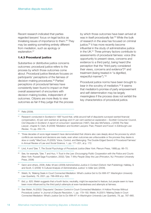Recent research indicated that parties regarded lawyers' focus on legal tactics as trivialising issues of importance to them. <sup>56</sup> They may be seeking something entirely different from mediation, such as apology or explanation. 57

#### **1.4.3 Procedural justice**

Substantive or distributive justice concerns outcomes: procedural justice refers to the process by which those outcomes come about. Procedural justice literature focuses on participants' perceptions of the fairness of decision-making procedures. <sup>58</sup> Parties' perceptions of procedural fairness have consistently been found to impact on their overall assessment of encounters with decision-making bodies, independent of outcomes. Citizens are more likely to view outcomes as fair if they judge that the process by which those outcomes have been arrived at was in itself procedurally fair. <sup>59</sup> While the bulk of research in the area has focused on criminal justice,<sup>60</sup> it has more recently become influential in the study of administrative justice in the UK. <sup>61</sup> Three primary factors contribute to assessments of procedural fairness: voice (the opportunity to present views, concerns and evidence to a third party), being heard (the perception that the "third party considered their views, concerns and evidence") <sup>62</sup> and treatment (being treated in "a dignified, respectful manner").' 63

Procedural justice norms have been brought to bear in the scrutiny of mediation. <sup>64</sup> It seems that mediation's promise of party empowerment and self-determination may be largely meaningless if the process does not exhibit the key characteristics of procedural justice.

<sup>56</sup> Relis (2009).

<sup>57</sup> Research conducted in Scotland in 1997 found that, while around half of disputants surveyed wanted financial compensation, 43 per cent wanted an apology and 41 per cent wanted an explanation – Scottish Consumer Council, *Civil Disputes in Scotland: A report of consumers' experiences* (1997). See also McFarlane, J (2009) *The New Lawyer*, chapter 6; Clark, B (2009) 'Mediation and Scottish Lawyers: Past, Present and Future' in *Edinburgh Law Review*, 13, pp. 252–74.

<sup>&</sup>lt;sup>58</sup> "three decades of socio-legal research have demonstrated that citizens also care deeply about the process by which conflicts are resolved and decisions are made, even when outcomes are unfavourable or the process they desire is slow or costly" MacCoun, R (2005) 'Voice, Control, and Belonging: The Double-Edged Sword of Procedural Fairness' in *Annual Review of Law and Social Science*, 1, pp. 171–201, at p. 172.

<sup>59</sup> Lind, A and Tyler, T, *The Social Psychology of Procedural Justice* (New York: Plenum Press, 1988) pp. 66–70.

<sup>60</sup> See, for example, Tyler, T and Huo, Y *Trust in the Law: Encouraging Public Cooperation with the Police and Courts* (New York: Russell Sage Foundation, 2002); Tyler, T *Why People Obey the Law* (Princeton, NJ: Princeton University Press, 2006)

<sup>61</sup> Genn and others, 2006; Adler, M (ed.) (2009) *Administrative Justice in Context* (Oxford: Hart Publishing); Halliday, S and Scott, C (2009) 'A Cultural Analysis of Administrative Justice' in Adler (ed.) (2009).

<sup>62</sup> Welsh, N, 'Making Deals in Court Connected Mediation: What's Justice Got to Do With It?' *Washington University Law Quarterly*, 79, 2001, pp. 788–858 at p. 820.

<sup>&</sup>lt;sup>63</sup> *Ibid*, p. 820; Welsh suggests that a fourth factor, neutrality, might be expected to feature, but people seem to have been more influenced by the third party's attempts at even-handedness and attempts at fairness.

<sup>64</sup> See Welsh, N (2002) 'Disputants' Decision Control in Court-Connected Mediation: A Hollow Promise Without Procedural Justice' in *Journal of Dispute Resolution*, 1, pp. 179–192; Welsh, N (2001) 'Making Deals in Court Connected Mediation: What's Justice Got to Do With It?' in *Washington University Law Quarterly*, 79, pp. 787–865.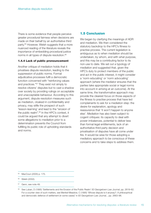There is some evidence that people perceive greater procedural fairness when decisions are made on their behalf by an authoritative third party. <sup>65</sup> However, Welsh suggests that a more nuanced reading of the literature reveals the importance of embedding procedural justice norms in all types of dispute resolution.<sup>66</sup>

#### **1.4.4 Lack of public pronouncement**

Another critique of mediation holds that it privatises dispute resolution, leading to the suppression of public norms. Formal adjudicative processes fulfil a democratic function concerned with "reinforcing values and practices."67 They exist not simply to resolve citizens' disputes but to cast a shadow over society by providing rulings on acceptable and unacceptable behaviour. According to this argument, dispute resolution measures such as mediation, cloaked in confidentiality and privacy, may stifle the prospect of such 'lesson-learning' and lead to the "erosion of the public realm". <sup>68</sup> In the HPC's context, it could be argued that any attempt to divert some allegations to mediation prior to a determination prevents the Council from fulfilling its public role of upholding standards and norms.

### **1.5 Conclusion**

We began by clarifying the meanings of ADR and mediation. We then considered the statutory backdrop to the HPC's fitness to practise process. The current legislation is ambiguous as to when mediation should be undertaken, by whom, and with what purpose, and this may be a contributing factor to its non-use to date. We set out a typology of mediation and suggested that, given the HPC's duty to protect members of the public and act in the public interest, it might consider a 'norm educating' or 'norm advocating' approach (where the mediator ensures that the parties take appropriate social or legal norms into account in arriving at an outcome). At the same time, the transformative approach may provide the clearest focus on those aspects of the fitness to practise process that have led complainants to ask for a mediation step: the desire for explanation, apology and reassurance that 'it won't happen to anyone else'. Mediation has also been subject to cogent critiques: its capacity to deal with power imbalances, potential to deliver less than formal legal entitlements, lack of an authoritative third party decision and privatisation of disputes have all come under fire. It would be wise for those adopting a mediatory approach to be conscious of these concerns and to take steps to address them.

<sup>65</sup> MacCoun (2005) p. 175.

- <sup>66</sup> Welsh (2002).
- <sup>67</sup> Genn, see note 49.

<sup>68</sup> See Luban, D (1995) 'Settlements and the Erosion of the Public Realm' *83 Georgetown Law Journal*, pp. 2619–62. For a counter view of such matters, see Menkel-Meadow, C (1995) 'Whose dispute is it anyway?: A philosophical and democratic defence of settlement (in some cases)' in *83 Georgetown Law Journal*, , pp. 2663–96.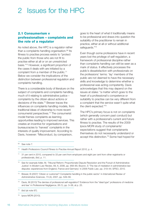# 2 Issues for the HPC

# **2.1 Consumerism v professionalism – complaints and the role of a regulator**

As noted above, the HPC is a regulator rather than a complaints handling organisation. <sup>69</sup> Its fitness to practise process exists to "protect the public from those who are not fit to practise either at all or on an unrestricted basis."70 However, a significant proportion of the cases it deals with are initiated by a complaint from a member of the public. 71 Below we consider the implications of the distinction between professional regulation and complaints handling.

There is a considerable body of literature on the subject of complaints and complaints handling, much of it relating to administrative justice – complaints by the citizen about actions or decisions of the state. <sup>72</sup> Brewer traces the influences on complaints handling models, from traditional ideas of citizenship to more recent consumerist perspectives. <sup>73</sup> The consumerist model frames complaints as learning opportunities leading to improved services. This creates an incentive for organisations and bureaucracies to 'harvest' complaints in the interests of quality improvement. According to Davis, however: "Misconduct, by comparison,

goes to the heart of what it traditionally means to be professional and draws into question the suitability of the practitioner to remain in practice, either at all or without additional safeguards."74

Even though some professions have in recent years lost the privilege of self-regulation, a framework of professional discipline rather than complaints handling can still be seen as a mark of status. It effectively processes the public's dissatisfaction with professionals on the professions' terms: 'lay' members of the public are not deemed to have the necessary skills and knowledge to determine whether a professional was acting competently. Davis acknowledges that this may depend on the issues at stake: "a matter which goes to the heart of a professional's competence or suitability to practise can be very different from a complaint that the service wasn't quite what the client expected."75

The HPC's primary focus is not on complaints (which generally concern past conduct) but rather with a professional's current and future fitness to practise. The results of the 2009 Ipsos MORI study of complainants' expectations suggest that complainants themselves do not necessarily understand or accept this distinction. <sup>76</sup> Some had hoped for

<sup>70</sup> *Health Professions Council Fitness to Practise Annual Report 2010*, p. 4.

- <sup>71</sup> 31 per cent in 2010, compared to 33 per cent from employers and eight per cent from other registrants or professionals, *Ibid*, p. 11.
- 72 See for example Adler, M, 'Tribunal Reform: Proportionate Dispute Resolution and the Pursuit of Administrative Justice' in *Modern Law Review*, 69, 6, 2006, pp. 958–85; Boyron, S 'The rise of mediation in administrative law disputes: experiences from England, France and Germany' in *2006 Public Law*, pp. 319–44; SPSO, 2010.
- <sup>73</sup> Brewer, B (2007) 'Citizen or customer? Complaints handling in the public sector' in *International Review of Administrative Sciences*, 73 (4), 2007, pp. 549–56.
- <sup>74</sup> Davis, M (2010) The demise of professional self-regulation? Evidence from the "ideal type" professions of medicine and law' in *Professional Negligence*, 26 (1), pp. 3–38, at p. 25.

<sup>&</sup>lt;sup>69</sup> See note 7.

<sup>75</sup> *Ibid* (at note 97).

<sup>76</sup> Ipsos MORI (2010).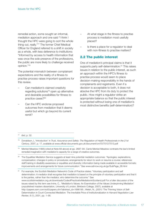remedial action, some sought an informal, mediation approach and one said "I think I thought the HPC were going to sort the whole thing out, really."77 The former Chief Medical Officer for England referred to a shift in society as a whole, with less deference to institutions: "Informed by access to health information that was once the sole preserve of the professions, the public are more likely to challenge received opinion."78

The potential mismatch between complainant expectations and the reality of a fitness to practise process raises important questions for this review.

- Can mediation's claimed creativity regarding solutions<sup>79</sup> open up alternative and desirable possibilities for fitness to practice cases?<sup>80</sup>
- Can the HPC endorse proposed outcomes from mediation that it deems useful but which go beyond its current remit?
- At what stage in the fitness to practise process is mediation most usefully placed?
- Is there a place for a regulator to deal with non-fitness to practise matters?

# **2.2 The public interest**

One of mediation's principal claims is that it supports party self-determination. <sup>81</sup> This raises issues in relation to the public interest, as such an approach within the HPC's fitness to practise process would seem to place decision-making responsibility in the hands of complainants and registrants. Even if a decision is acceptable to both, it does not absolve the HPC from its duty to protect the public. How might a regulator strike an appropriate balance so that the public interest is protected without losing one of mediation's most distinctive benefits (self-determination)?

81 For example, the Scottish Mediation Network's Code of Practice states: "Voluntary participation and self determination: A mediator shall recognise that mediation is based on the principle of voluntary participation and that it is the parties, rather than the mediator, who determine the outcome." See www.scottishmediation.org.uk/downloads/CodeofPracticeforMediationinScotland.pdf For a fuller discussion of the issues raised by this term see Irvine, C., 'Mediation's Values: An Examination of the Values Underpinning Mediation' (unpublished masters dissertation, University of London, Birkbeck College, 2007), available at http://papers.ssrn.com/sol3/papers.cfm?abstract\_id=1686195 ; Welsh, N., (2001) 'The Thinning Vision of Self-Determination in Court-Connected Mediation: The Inevitable Price of Institutionalization in *Harvard Negotiation Law Review*, 6 (1), 2001, pp. 1–95.

<sup>77</sup> *Ibid*, p. 32.

<sup>78</sup> Donaldson, L 'Introduction' in *Trust, Assurance and Safety: The Regulation of Health Professionals in the 21st Century*, 2007, p. 17, available at www.official-documents.gov.uk/document/cm70/7013/7013.pdf

<sup>79</sup> Menkel-Meadow (1995) (cited at Note 68 above) at pp. 2687–94. Carrie Menkel-Meadow contrasts the law's limited remedial imagination with mediation's capacity for a range of creative outcomes.

<sup>80</sup> The Equalities Mediation Service suggests at least nine potential mediation outcomes: "Apologies; explanations; compensation; changes in policy or procedures; arrangements for return to work or resume a course; references; staff training in disability awareness or equalities and diversity; information being made available in accessible formats; improvements and arrangements for future communication." See www.adrnow.org.uk/go/SubPage\_38.html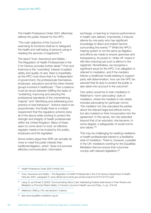The Health Professions Order 2001 effectively defines the public interest for the HPC:

"The main objective of the Council in exercising its functions shall be to safeguard the health and well-being of persons using or needing the services of registrants."82

The report Trust, Assurance and Safety – The Regulation of Health Professionals in the 21st Century provides further detail.<sup>83</sup> First and foremost is the "overriding" interest of patient safety and quality of care. Next is impartiality, as the HPC must show that it is "independent of government, the professionals themselves, employers, educators and all the other interest groups involved in healthcare." Then a balance must be struck between fulfilling the tasks of "sustaining, improving and assuring the professional standards of the overwhelming majority" and "identifying and addressing poor practice or bad behaviour". Actions need to be proportionate. And finally there is a holistic requirement that the regulatory scheme does all of the above while working to protect the strength and integrity of health professionals within the United Kingdom. Many of these seem to come down to trust: an effective regulator needs to be trusted by the public, employers and the regulated.

Some writers argue that ADR can actually do more to meet the public interest than traditional litigation, which "does not promote effective communication, information

exchange, or learning to improve performance in health care delivery. Importantly, it induces silence by one party who has significant knowledge of direct and indirect factors surrounding the events."<sup>84</sup> While the HPC's hearing system is not the same as litigation, and efforts are made to ensure openness and transparency, its power to 'strike off' means it still risks inducing just such a silence in the registrant. Nonetheless, we recognise a significant issue for the HPC: if an allegation is referred to mediation, and if the mediator follows a traditional model seeking to support party self-determination, how can the HPC be assured that its duty to protect the public is also taken into account in the outcome?

One option would be to train mediators in Waldman's 'norm-advocating' style of mediation, where the mediator's role clearly includes advocating for particular norms: "the mediator not only educated the parties about the relevant legal and ethical norms, but also insisted on their incorporation into the agreement. In this sense, her role extended beyond that of an educator; she became, to some degree, a safeguarder of social norms and values."85

This may be challenging for existing mediators or health professionals trained in a facilitative style of mediation. There is, however, a parallel in the UK: mediators working for the Equalities Mediation Service ensure that outcomes comply with relevant legislation.<sup>86</sup>

<sup>82</sup> Health Professions Order (2001) Article 3(4).

<sup>83</sup> Trust, Assurance and Safety – The Regulation of Health Professionals in the 21st Century Department of Health, February 2007, paragraph 6, www.official-documents.gov.uk/document/cm70/7013/7013.pdf

<sup>84</sup> Liang, B, and Small, S (2003) 'Communicating About Care: Addressing Federal-state Issues in Peer Review and Mediation to Promote Patient Safety' in *Houston Journal of Health Law and Policy*, 3, pp. 219–64.

<sup>85</sup> Waldman (1995) p.745; see Section1.3 above.

<sup>86</sup> See www.equalities-mediation.org.uk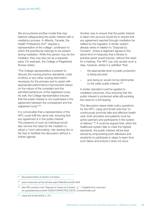We encountered another model that may balance safeguarding the public interest with a mediatory process. In Alberta, Canada, the Health Professions Act<sup>87</sup> requires a representative of the college / profession to which the practitioner belongs to be present during mediation. While this person may be the mediator, they may also act as a separate party. For example, the College of Registered Nurses states:

"The College representative is present to discuss the nursing practice standards, code of ethics or any other nursing information necessary for the process and to assist with appropriate performance improvement based on the nature of the complaint and the admitted behaviours of the registered nurse. As well, the College representative ensures that the public interest is not overlooked in the agreement between the complainant and the registered nurse"'88

It is conceivable that a representative of the HPC could fulfil the same role, ensuring that any agreement is in the public interest. The presence of such an individual would also remove the need for the mediator to adopt a 'norm-advocating' role, leaving him or her free to facilitate the discussion without a further agenda.

Another way to ensure that the public interest is taken into account would be to require that any agreement reached through mediation be ratified by the regulator. A similar system already exists in relation to 'Disposal by Consent', where a registrant agrees to the same kind of measures that a fitness to practise panel would impose, without the need for a hearing. The HPC can only accept such a step, however, where it is satisfied "that:

- the appropriate level of public protection is being secured;
- and doing so would not be detrimental to the wider public interest."89

A similar standard could be applied to mediated outcomes, thus ensuring that the public interest is protected while still avoiding the need for a full hearing.

This discussion raises wider policy questions for the HPC. Liang and Small note that "to continuously promote safe and effective health care, both providers and patients must be active partners and participants in the system of delivery". <sup>90</sup> It could be argued that, when the healthcare system fails to meet the highest standards, the public interest will be best served by empowering both deliverers and recipients to participate in steps to learn from such failure and ensure it does not recur.

87 Discussed further at Section 3.8 below.

88 www.nurses.ab.ca/Carna/index.aspx?WebStructureID=859

<sup>89</sup> See HPC practice note 'Disposal of Cases by Consent', p. 1. Available from www.hpcuk.org/assets/documents/10002473PRACTICE\_NOTE\_ConsentOrders.pdf

Liang and Small (2003) p. 221.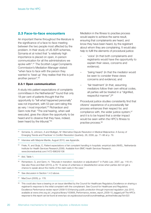#### **2.3 Face-to-face encounters**

An important theme throughout the literature is the significance of a face-to-face meeting between the two people most affected by the problem. In their study of US ADR schemes, Szmania et al noted that "a relatively high importance is placed on open, in-person communication for all the administrators we spoke with". <sup>91</sup> The Scottish Legal Complaints Commission's Mediation Manager stated: "when face to face with the person they wanted to 'beat up' they realise that this is just another person". 92

#### **2.3.1 Open communication**

A study into patient expectations of complaints committees in the Netherlands<sup>93</sup> found that only 18 per cent of patients thought that the opportunity to "tell what happened personally" was not important, with 53 per cent rating this as very / most important.<sup>94</sup> Richardson and Genn note that: "The oral hearing, when well executed, gives the citizen the opportunity to be heard and to observe that they have, indeed, been heard by the tribunal."95

Mediation in the fitness to practise process would aspire to achieve the same result, ensuring that complainants are heard, and know they have been heard, by the registrant about whom they are complaining. It would also help to fulfil the elements of procedural justice:

- 'voice' (in that both complainants and registrants would have the opportunity to explain their views, concerns and evidence);
- 'being heard' (in that the mediator would be seen to consider these views concerns and evidence); and
- 'fair treatment' (in that, assuming mediators follow their own ethical codes, all parties will be treated in a "dignified, respectful manner".) 96

Procedural justice studies consistently find that citizens' experience of a procedurally fair process enhances their respect for, and compliance with, the wider justice system, 97 and it is to be hoped that a similar impact would be seen within the HPC's fitness to practise process. 98

92 Interview with Marjorie Mantle, August 2010, see Appendix.

<sup>93</sup> Friele, R, and Sluijs, E, *Patient expectations of fair complaint handling in hospitals: empirical data* (NIVEL, Netherlands Institute for Health Services Research,2006). Available from BMC Health Services Research, www.biomedcentral.com/1472-6963/6/106

<sup>94</sup> *Ibid*, Table 1.

- 96 See discussion in Section 1.4.3 above.
- MacCoun (2005), p. 178.

<sup>91</sup> Szmania, S, Johnson, A and Mulligan, M 'Alternative Dispute Resolution in Medical Malpractice: A Survey of Emerging Trends and Practices' in *Conflict Resolution Quarterly*, 26, 2008, pp. 71–96 at p. 79.

<sup>95</sup> Richardson, G, and Genn, H, 'Tribunals in transition: resolution or adjudication?' in *Public Law*, 2007, pp. 116–41; See also Ross and Bain (2010), p.78: "A sense of unfairness or dissatisfaction arose when parties did not get a chance to speak about the merits of the claim early in the case."

<sup>98</sup> This could also have a bearing on an issue identified by the Council for Healthcare Regulatory Excellence on sharing a registrant's response to the initial complaint with the complainant. See Council for Healthcare and Regulatory Excellence *Performance review report 2009/10 Enhancing public protection through improved regulation July 2010*, available at www.chre.org.uk/\_img/pics/library/100806\_Performance\_review\_report\_2009-10\_tagged.pdf The HPC's response to this report can be found at www.hpc-uk.org/aboutus/council/councilmeetings\_archive/index.asp?id=523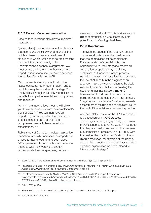#### **2.3.2 Face-to-face communication**

Face-to-face meetings also allow a 'real time' interaction:

"[face-to-face] meetings increase the chances that each party will clearly understand all the points at issue in the case. We know of situations in which, until a face-to-face meeting was held, the parties simply did not understand the opponent's arguments. We must create a climate where there are more opportunities for genuine interaction between the parties. Clarity is the key."99

Genuineness is also important: "all of the issues can be talked through in depth and a resolution may be possible at this stage."100 The Medical Protection Society recognises the benefits for all parties – registrant, complainant and regulator:

"Arranging a face-to-face meeting will allow you to clarify the issues from the complainant's point of view […] You will then have an opportunity to discuss what the complaints process can and can't deliver if the complainant seems to have unrealistic expectations."101

Relis's study of Canadian medical malpractice mediation forcefully underlines the importance of face-to-face encounters to both 'sides': "What pervaded disputants' talk on mediation agendas was their wanting to directly communicate their perspectives, be heard,

seen and understood."102 This positive view of direct communication was shared by both plaintiffs and defending physicians.

#### **2.3.3 Conclusion**

The evidence suggests that open, in-person communication is one of the most popular features of mediation for its participants. For a proportion of complainants, the opportunity to tell their story and receive an explanation or apology may be all they seek from the fitness to practise process. As well as delivering a procedurally fair process, the use of ADR early in the progress of an allegation may allow some matters to be dealt with swiftly and directly, thereby avoiding the need for further investigation. The HPC, however, would still need to ensure that the public interest is protected and it may be that a 'triage' system is advisable, <sup>103</sup> allowing an early assessment of the likelihood of significant risk to the public if the registrant continues to practice.

Another, related, issue for the HPC to consider is the location of an ADR process, chronologically and geographically. Our review of ADR schemes around the world<sup>104</sup> illustrates that they are mostly used early in the progress of a complaint or problem. The HPC may wish to consider the practical ramifications of local dispute resolution, for example at the point of care. Is this something it could deliver, or might a partner organisation be better placed to intervene at this stage?

<sup>102</sup> Relis (2009), p. 153.

Evans, D, 'LMAA arbitrations: observations of a user' in Arbitration, 76(3), 2010, pp. 399–404.

<sup>100</sup> Healthcare Commission, *Complaints Toolkit: Handling complaints within the NHS*, March 2008, paragraph 5.6.2, Available at www.chi.gov.uk/\_db/\_documents/Complaints\_Toolkit.pdf

<sup>101</sup> The Medical Protection Society, *Guide to Resolving Complaints: The Wider Picture*, p.10. Available at www.medicalprotection.org/adx/aspx/adxGetMedia.aspx?DocID=23768,129,127,9698,22,11,Documents&MediaID= 6657&Filename=MPS+Resolving+Complaints+booklet\_web.pdf

<sup>103</sup> Similar to that used by the Scottish Legal Complaints Commission. See Section 3.1 of this report.

<sup>104</sup> See section 3 of this report.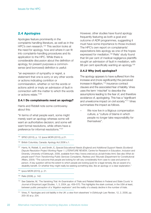# **2.4 Apologies**

Apologies feature prominently in the complaints handling literature, as well as in the HPC's own research.<sup>105</sup> This section looks at the need for apology, how and where it can fit into complaints-handling procedures and its application to the HPC. While there is considerable discussion about the definition of apology, for present purposes a commonsense (and borrowed) definition is useful:

"an expression of sympathy or regret, a statement that one is sorry or any other words or actions indicating contrition or commiseration, whether or not the words or actions admit or imply an admission of fault in connection with the matter to which the words or actions relate."106

#### **2.4.1 Do complainants need an apology?**

Harris and Riddell note some controversy about this:

"In terms of what people want, some might merely want an apology whereas some will want an authoritative decision; and some will want formal resolutions, while others have a preference for informal resolutions."107

<sup>105</sup> SPSO (2010), p. 12; Ipsos MORI (2010), p.21.

<sup>106</sup> British Columbia, Canada: Apology Act 2006 s.1.

However, other studies have found apology frequently featuring as both a goal and outcome of ADR programmes, suggesting it must have some importance to those involved. The HPC's own report on complainants' expectations lists apology as one of the hopes expressed for mediation. <sup>108</sup> Relis' study found that 94 per cent of medical negligence plaintiffs sought an admission of fault in mediation, with 88 per cent specifically wanting an apology.<sup>109</sup>

#### **2.4.2 Why (not) apologise?**

The apology appears to have suffered from the increase and (more significantly) the perceived increase in litigation, <sup>110</sup> insurance contract clauses and the associated fear of liability. Vines uses the term 'mischief' to describe the assumptions leading to the fear of, and therefore avoidance of, apologising. This has a "significant and unwelcome impact on civil society."111 Vines summarises the impact as follows.

We now live in a litigious compensation culture, a "culture of blame in which people no longer take responsibility for themselves".

<sup>107</sup> Harris, N, Riddell, S, and Smith, E, *Special Educational Needs (England) and Additional Support Needs (Scotland) Dispute Resolution Project Working Paper 1: LITERATURE REVIEW*, Centre for Research in Education, Inclusion and Diversity, University of Edinburgh, 2008, available from http://www.creid.ed.ac.uk/adr/index.html; See also *What do people want? From Transforming Public Services Complaints, Redress and Tribunals* (Department for Constitutional Affairs, 2004): "The outcome that people are looking for will vary considerably from case to case and person to person. A key question will be the extent to which people are looking (just) for a legal remedy, like an award of a disability benefit. Or whether they might really be seeking something else, like an apology or a clear explanation."

<sup>108</sup> Ipsos MORI (2010), p. 21.

<sup>109</sup> Relis (2008), p. 142.

<sup>110</sup> See Galanter, M, 'The Vanishing Trial: An Examination of Trials and Related Matters in Federal and State Courts' in *Journal of Empirical Legal Studies*, 1, 3, 2004, pp. 459–570. This highlights the stark contrast, in the USA at least, between public perception of a 'litigation explosion' and the reality of a steady decline in the number of trials.

<sup>111</sup> Vines, P, 'Apologies and civil liability in the UK: a view from elsewhere' in *Edinburgh Law Review*, 12, 2, 2008, pp. 200–30 at p. 204.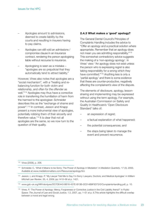- Apologies amount to admissions, deemed to create liability by the courts and resulting in insurers having to pay claims.
- Apologies can still void an admissions / compromise clause in an insurance contract, rendering the person apologising liable without recourse to insurance.
- Apologising is seen as a mistake "apologies are so prejudicial that they automatically tend to attract liability."

However, Vines also notes that apologies are a "social mechanism", with a "healing and rebalancing function for both victim and relationship, and often for the offender as well."112 Apologies may thus have a corrective role in transferring the humiliation of harm from the harmed to the apologiser. Schneider describes this as the "exchange of shame and power". <sup>113</sup> In contrast, Jesson and Knapp present a more instrumental view of apologies, potentially robbing them of their sincerity and therefore value.<sup>114</sup> It is clear that not all apologies are the same, so we now turn to the question of their quality.

#### **2.4.3 What makes a 'good' apology?**

The General Dental Council's Principles of Complaints Handling includes the advice to "Offer an apology and a practical solution where appropriate. Remember that an apology does not mean you are admitting responsibility."115 This somewhat contradictory advice suggests the making of a 'non-apology apology'. In Vines' view: "An apology does not exist unless the person who is expressing regret is also taking responsibility for a wrong which they have committed."116 Anything less is only a 'partial apology' and there is some evidence that these are counter-productive, negatively affecting the complainant's view of the dispute.

The elements of disclosure, apology, lessonsharing and implementing may be expressed without using the term apology. For example, the Australian Commission on Safety and Quality in Healthcare's 'Open Disclosure Standard' talks of:

- an expression of regret;
- a factual explanation of what happened;
- the potential consequences; and
- the steps being taken to manage the event and prevent recurrence.

<sup>112</sup> Vines (2008), p. 206.

<sup>113</sup> Schneider, C, 'What it Means to be Sorry: The Power of Apology in Mediation' in *Mediation Quarterly*, 17 (3), 2000. Available at www.mediationmatters.com/Resources/apology.htm

<sup>114</sup> Jesson, L and Knapp, P, 'My Lawyer Told Me to Say I'm Sorry: Lawyers, Doctors, and Medical Apologies' in *William Mitchell Law Review*, 35, 4, 2009, pp.1410–56 at p. 1421.

<sup>115</sup> www.gdc-uk.org/NR/rdonlyres/DC7DE443-B616-437E-B13B-0C014B9F5D73/0/ComplaintsHandling.pdf, p. 10.

<sup>116</sup> Vines, P, 'The Power of Apology: Mercy, Forgiveness or Corrective Justice in the Civil Liability Arena?' in *Public Space: The Journal of Law and Social Justice*, 1.5, 2007, pp. 1–51 at p. 8.This article highlights the difficult overlap between a moral and legal wrong.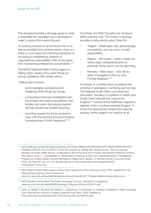This standard provides a 40-page guide for what is essentially the mandated way to apologise in order to support the overarching aim:

"In working towards an environment that is as free as possible from adverse events, there is a need to move away from blaming individuals to focussing on establishing systems of organisational responsibility while at the same time maintaining professional accountability."<sup>117</sup>

The NHS's National Patient Safety Agency's 'Being Open: Saying sorry when things go wrong' guidelines offer similar advice:

"'Being open involves:

- acknowledging, apologising and explaining when things go wrong;
- conducting a thorough investigation into the incident and reassuring patients, their families and carers that lessons learned will help prevent the incident recurring;
- providing support for those involved to cope with the physical and psychological consequences of what happened."118

And finally, the NHS Education for Scotland (NES) practice note 'The Power of Apology' provides simple advice using 'three Rs':

- "Regret Meaningful, real, acknowledge wrongdoing; Just say sorry; Accept responsibility
- Reason Be honest doesn't mean you will be sued; Unintentional and not personal; Trying hard to do the right thing
- Remedy Next steps who will do what: Investigate to find out why: Provide feedback"119

A number of countries have considered the potential of apologies in rectifying past wrongs. The National-Audit-Office-commissioned document, Handling Complaints in Health and Social Care: International Lessons for England, <sup>120</sup> looked at the healthcare regulatory regimes of ten countries including England. It found that approaches ranged from placing apology centre stage to no mention at all.

<sup>117</sup> www.health.gov.au/internet/safety/publishing.nsf/Content/ B892340AE79ACA88CA25775B00005B0F/\$File/OD-Standard-2008.pdf; This is echoed in some US schemes for dealing with 'adverse events'. See, for example, Michigan University Health Service, as described in Boothman et al (2010); Kaiser Permanente's MedicOm scheme, described in Houk, C., and Edelstein, L. (2008) 'Beyond Apology to Early Non-Judicial Resolution: The MedicOm Program as a Patient Safety-Focused Alternative to Malpractice Litigation' in *Hamline Journal of Law and Public Policy*, 29, Fall 2007, pp. 411–22; See also Moody in www.roughnotes.com/rnmagazine/2005/ november05/11p124.htm

<sup>118</sup> NHS National Patient Safety Agency, Being Open: Saying sorry when things go wrong, 2009. Available from the National Reporting and Learning Service at www.nrls.npsa.nhs.uk/EasySiteWeb/getresource.axd?AssetID=65172&type=full&servicetype=Attachment

<sup>119</sup> NHS Education for Scotland 'The Power of Apology' in Focus, Spring 2010, Available at www.nes.scot.nhs.uk/media/649655/apology%20spring%20focus%202010.pdf

<sup>120</sup> Lister, G, Rosleff, F, Boudioni, M, Dekkers, F, Jakubowski, E and Favelle, H, Handling Complaints in Health and Social Care: International Lessons for England, National Audit Office, 2008). Available at http://www.nao.org.uk/publications/0708/learning\_from\_complaints.aspx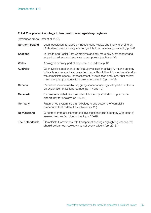### **2.4.4 The place of apology in ten healthcare regulatory regimes**

(references are to Lister et al, 2008)

| Northern Ireland       | Local Resolution, followed by Independent Review and finally referral to an<br>Ombudsman with apology encouraged, but fear of apology evident (pp. 5–6)                                                                                                                                                     |
|------------------------|-------------------------------------------------------------------------------------------------------------------------------------------------------------------------------------------------------------------------------------------------------------------------------------------------------------|
| <b>Scotland</b>        | In Health and Social Care Complaints apology more obviously encouraged,<br>as part of redress and response to complaints (pp. 8 and 10)                                                                                                                                                                     |
| <b>Wales</b>           | Apology is similarly part of response and redress (p.12)                                                                                                                                                                                                                                                    |
| Australia              | Open Disclosure standard and statutory exclusion of liability means apology<br>is heavily encouraged and protected. Local Resolution, followed by referral to<br>the complaints agency for assessment, investigation and / or further review,<br>means ample opportunity for apology to come in (pp. 14–15) |
| Canada                 | Processes include mediation, giving space for apology with particular focus<br>on explanation of lessons learned (pp. 17 and 19)                                                                                                                                                                            |
| <b>Denmark</b>         | Processes of aided local resolution followed by arbitration supports the<br>opportunity for apology (pp. 20–22)                                                                                                                                                                                             |
| Germany                | Fragmented system, so that "Apology is one outcome of complaint<br>procedures that is difficult to achieve" (p. 25)                                                                                                                                                                                         |
| <b>New Zealand</b>     | Outcomes from assessment and investigation include apology with focus of<br>learning lessons from the incident (pp. 26–28)                                                                                                                                                                                  |
| <b>The Netherlands</b> | Complaints Committees with transparent hearings highlighting lessons that<br>should be learned. Apology was not overly evident (pp. 29-31)                                                                                                                                                                  |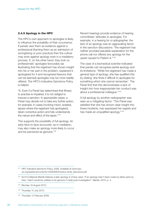#### **2.4.5 Apology in the HPC**

The HPC's own approach to apologies is likely to influence the possibility of their occurrence. If panels view them as evidence against a professional (framing them as an admission of wrongdoing or poor practice) then the culture may work against apology even in a mediatory process. If, on the other hand, they look on professionals' apologies favourably (as illustrating that the registrant has shown insight into his or her part in the problem, explained it, apologised for it and recognised lessons that can be learned) apologies may be more readily offered. The HPC's Indicative Sanctions Policy is helpful:

"6. Even if a Panel has determined that fitness to practise is impaired, it is not obliged to impose a sanction. In appropriate cases, a Panel may decide not to take any further action, for example, in cases involving minor, isolated, lapses where the registrant has apologised, taken corrective action and fully understands the nature and effect of the lapse."121

This supports the possibility of full apology. An early face-to-face encounter, as in mediation, may also make an apology more likely to occur and be perceived as genuine. 122

Recent hearings provide evidence of hearing committees' attitudes to apologies. For example, in a hearing for a radiographer, the lack of an apology was an aggravating factor in the sanction discussions: "the registrant has neither provided plausible explanation for the phone call nor offered any apology for the upset caused to Patient A."123

The case of a biomedical scientist indicated that panels can recognise partial apology and its limitations: "While the registrant has made a general type of apology, she has qualified this by stating 'she finds it difficult to apologise for something which she cannot remember'. The Panel find that this demonstrates a lack of insight into how inappropriate her conduct was about a professional colleague."124

A full apology by another radiographer was seen as a mitigating factor: "The Panel was satisfied that she has shown clear insight into these incidents, has expressed her regrets and has made an unqualified apology."125

<sup>&</sup>lt;sup>121</sup> HPC Indicative Sanctions Policy, 2009. Available at www.hpcuk.org/assets/documents/10000A9CPractice\_Note\_Sanctions.pdf

<sup>122</sup> SLCC's Marjorie Mantle believes a later apology is of less value: "If an apology hasn't been made by either party by then, I feel it would be unlikely to be genuine if made post-investigation", Mantle, 2010, p. 4.

<sup>123</sup> Monday 16 August 2010.

<sup>124</sup> Thursday 15 July 2010.

<sup>125</sup> Thursday 12 February 2009.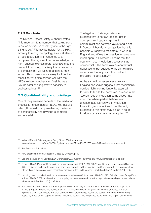#### **2.4.5 Conclusion**

The National Patient Safety Authority states: "It is important to remember that saying sorry is not an admission of liability and is the right thing to do."126 It may be helpful for the HPC similarly to recognise apology as a first element of local resolution. If, in response to a complaint, the registrant can acknowledge the harm caused, express regret and take steps to prevent it recurring, it is likely that a proportion of complainants will wish to take no further action. This corresponds closely to 'frontline resolution.' <sup>127</sup> It also chimes well with the HPC's existing emphasis on 'insight' as a key indicator of a registrant's capacity to address failings. 128

### **2.5 Confidentiality and privilege**

One of the perceived benefits of the mediation process is its confidential nature. Yet, despite often glib assertions by mediators, the issue of confidentiality and privilege is complex and uncertain.

The legal term 'privilege' refers to evidence that is not available for use in court proceedings, and applies to communications between lawyer and client. In Scotland there is no suggestion that this principle will apply to mediators, <sup>129</sup> while in England and Wales the question remains very much open. <sup>130</sup> However, it seems that the courts will treat mediation discussions as confidential in the same way as contractual negotiations, but subject to the same limited exceptions that apply to other 'without prejudice' negotiations. 131

At the same time, recent case law from England and Wales suggests that mediation's confidentiality can no longer be assured. In order to tackle the perceived increase in the 'tactical' use of mediation some cases have ruled that where parties behave in an unreasonable fashion within mediation, thus stifling opportunities for settlement, evidence to this effect may be led in court to allow cost sanctions to be applied.<sup>132</sup>

- <sup>128</sup> HPC practice note on Disposal of Cases by Consent, p. 1.
- <sup>129</sup> See the discussion in: Scottish Law Commission, *Discussion Paper No. 92*, 1991, paragraphs 1.3 and 2.1.
- <sup>130</sup> Brown v Rice & Patel (ADR Group intervening) unreported, [2007] EWHC 625, per Deputy Judge Isaacs QC at para [20]. The limited evidence for such a common law principle led the Scottish Law Commission to propose statutory intervention in the area of family mediation, manifest in the Civil Evidence (Family Mediation) (Scotland) Act 1995.
- 131 Including unequivocal admissions or statements made see Cutts v Head 1984 Ch. 290; Daks Simpson Group Plc v Kuiper 1994 SLT 689 or where fraud, impropriety or misrepresentations in the negotiations are alleged – see Unilever v Proctor and Gamble [2001] 1 AE 783.
- <sup>132</sup> Earl of Malmesbury v Strutt and Parker [2008] EWHC 424 (QB); Carleton v Strutt & Parker (A Partnership) [2008] EWHC 616 (QB). This view is consistent with Civil Procedure Rule 1.4(2)(f) which states that parties and their representatives must "ensure that their conduct within proceedings assists the court in furthering the overriding objective, or rather that aspect of it which require to court to help the parties settle the whole or part of their case."

<sup>126</sup> National Patient Safety Agency, *Being Open*, 2009. Available at www.nrls.npsa.nhs.uk/EasySiteWeb/getresource.axd?AssetID=65170&type=full&servicetype=Attachment

<sup>127</sup> See Section 4.2.1 below.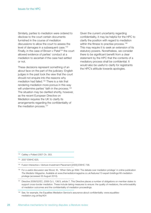Similarly, parties to mediation were ordered to disclose to the court certain documents furnished in the course of mediation discussions to allow the court to assess the level of damages in a subsequent case.<sup>133</sup> Finally, in the case of Brown v Patel <sup>134</sup> the court allowed evidence of parties' conduct at a mediation to ascertain if the case had settled or not.

These decisions represent something of an about face on the part of the judiciary: English judges in the past took the view that the court should not enquire into the reasons why mediation had failed. <sup>135</sup> There is a risk that rendering mediation more porous in this way will undermine parties' faith in the process.<sup>136</sup> The situation may be clarified shortly, however, as the recent European Directive on Mediation requires the UK to clarify its arrangements regarding the confidentiality of the mediation process.<sup>137</sup>

Given the current uncertainty regarding confidentiality, it may be helpful for the HPC to clarify the position with regard to mediation within the fitness to practise process.<sup>138</sup> This may require it to seek an extension of its statutory powers. Nonetheless, we consider there to be significant benefit from a clear statement by the HPC that the contents of a mediatory process shall be confidential. It would also be useful to clarify for registrants the HPC's attitude towards apologies.

133 Cattley v Pollard 2007 Ch. 353.

<sup>134</sup> 2007 EWHC 625.

135 Fusion Interactive v Venture Investment Placement [2005] EWHC 736.

<sup>138</sup> See, for example, the Equalities Mediation Service's assurance about confidentiality: www.equalitiesmediation.org.uk/faq/#24

<sup>136</sup> For a useful discussion see Wood, W., 'When Girls go Wild: The debate over mediation privilege' in online publication *The Mediator Magazine*. Available at www.themediatormagazine.co.uk/features/13-expert-briefings/46-mediationprivilege (accessed 30 August 2010).

<sup>137</sup> Directive 2008/52/EC, 2008 OJ L 136/3, article 7. This Directive places a number of obligations on member states to support cross-border mediation. These include taking measures to ensure: the quality of mediators, the enforceability of mediation outcomes and the confidentiality of mediation proceedings.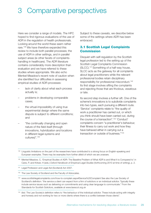# 3 Comparative perspectives

Here we consider a range of models. The HPC hoped to find rigorous evaluations of the use of ADR in the regulation of health professionals. Looking around the world these seem rather rare. <sup>139</sup> We have therefore expanded this review to include both parallel processes; the use of ADR in other settings, and in parallel subject areas (ie other facets of complaintshandling in healthcare). The ADR literature contains considerably more description than evaluation and we have referred to these studies where appropriate. We also echo Menkel-Meadow's recent note of caution when she identified four difficulties in assessing empirical studies of ADR processes:

- lack of clarity about what each process actually is;
- problems in developing comparable cases;
- the virtual impossibility of using true experimental design where the same dispute is subject to different conditions; and
- "the continually changing and open nature of the field itself (through innovations, hybridization and locations in different legal systems and cultures)". 140

Subject to these caveats, we describe below some of the settings where ADR has been embraced.

# **3.1 Scottish Legal Complaints Commission**

Disquiet with self-regulation by the Scottish legal profession led to the setting up of the Scottish Legal Complaints Commission (SLCC). <sup>141</sup> Something of a half-way house, SLCC acts as the gateway for all complaints about legal practitioners while the relevant professional bodies retain disciplinary responsibility for professional misconduct. 142 Its first stage involves sifting the complaints and rejecting those that are frivolous, vexatious or late.

Its second step involves a further sift. One of the scheme's innovations is to subdivide complaints into two types, each pursuing a different route. 'Service' complaints relate to "the quality of work a practitioner has carried out, or which you think should have been carried out, during the course of a transaction". <sup>143</sup> 'Conduct' complaints concern "a practitioner's behaviour, their fitness to carry out work and how they have behaved either in carrying out a transaction or outside of business."144

139 Linguistic limitations on the part of the researchers have contributed to a strong focus on English-speaking and European examples. There may be examples from further afield of which we are unaware.

142 The Law Society of Scotland and the Faculty of Advocates.

<sup>140</sup> Menkel-Meadow, C, 'Empirical Studies of ADR: The Baseline Problem of What ADR is and What It is Compared to' in Cane, P, and Kritzer, H (eds.) *Oxford Handbook of Empirical Legal Studies* (forthcoming 2010 at time of writing), p. 2.

<sup>141</sup> Legal Profession and Legal Aid (Scotland) Act 2007.

<sup>143</sup> www.scottishlegalcomplaints.com/how-to-complain.aspx#Service%20Complaint See also the Law Society of Scotland's definition: "the service a client can expect from a firm of solicitors or an individual solicitor. Typically these include service issues such as delivering on commitments and using clear language to communicate." From the Standards for Scottish Solicitors, available at www.lawscot.org.uk

<sup>144</sup> *Ibid*. The Law Society's definition refers to "the behaviour of the individual solicitor. These include acting with integrity and honesty and not working for two or more clients where there is a conflict between those clients".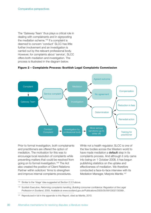The 'Gateway Team' thus plays a critical role in dealing with complainants and in signposting the mediation scheme. <sup>145</sup> If a complaint is deemed to concern 'conduct' SLCC has little further involvement and an investigation is carried out by the relevant professional body. However, for complaints about 'service', SLCC offers both mediation and investigation. The process is illustrated in the diagram below.



#### **Figure 2 – Complaints Process: Scottish Legal Complaints Commission**

Prior to formal investigation, both complainants and practitioners are offered the option of mediation. The motivation for this was to encourage local resolution of complaints while preventing matters that could be resolved from going on to formal investigation. <sup>146</sup> The Act also created the position of Client Relations Partner within solicitors' firms to strengthen and improve internal complaints procedures.

While not a health regulator, SLCC is one of the few bodies across the Western world to have made mediation a **default** step in its complaints process. And although it only came into being on 1 October 2008, it has begun publishing statistics on the uptake and effectiveness of mediation. We therefore conducted a face-to-face interview with its Mediation Manager, Marjorie Mantle. 147

<sup>145</sup> Similar to the 'triage' idea suggested at Section 2.3.3 above.

<sup>146</sup> Scottish Executive, *Reforming complaints handling, Building consumer confidence: Regulation of the Legal Profession in Scotland*, 2005. Available at www.scotland.gov.uk/Publications/2005/05/09103027/30369 .

<sup>&</sup>lt;sup>147</sup> Reproduced in full in the appendix to this Report, cited as Mantle, 2010.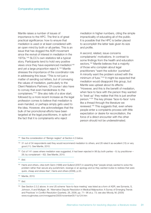Mantle raises a number of issues of importance to the HPC. The first is of great practical significance: how to ensure that mediation is used or at least considered with an open mind by both or all parties. This is an issue that has dogged the ADR movement since the revival of interest in mediation in the 1970s. <sup>148</sup> SLCC's own statistics tell a typical story. Participants tend to hold very positive views once they have experienced mediation<sup>149</sup> and yet a large proportion reject it. <sup>150</sup> Mantle stresses the importance of the coordinator role in addressing this issue: "This is not just a matter of sending out letters, but of conveying the values of mediation, particularly to the Client Relations Partners. Of course I also have to convey that even-handedness to the complainers."151 She also tells of a slow start, followed by a more recent increase as the legal profession comes to believe that mediation is even-handed, or perhaps simply gets used to the idea. However, she acknowledges that the bulk of her promotional efforts have been targeted at the legal practitioners, in spite of the fact that it is complainants who reject

mediation in higher numbers, citing the simple impracticality of educating all of the public. It is possible that the HPC is better placed to accomplish the latter task given its size and profile.

A second, related, issue concerns complainants' motivations. In contrast to some findings from the health and education sectors,<sup>152</sup> Mantle believes that a majority of those who complain about legal practitioners "want the solicitor 'punished'. A minority want the problem solved with the minimum of fuss."153 It might be expected that mediation would disappoint this group, but Mantle was upbeat about its effects: "However, and this is the benefit of mediation, when face to face with the person they wanted to 'beat up' they realise that this is just another person."154 The key phrase 'face-to-face' runs like a thread through the literature we reviewed. <sup>155</sup> This suggests that, even where people enter a complaints process with little expectation or desire for reconciliation, the force of a direct encounter with the other person should not be underestimated.

<sup>&</sup>lt;sup>148</sup> See the consideration of 'Benign neglect' at Section 4.3 below.

<sup>&</sup>lt;sup>149</sup> 31 out of 34 respondents said they would recommend mediation to others, and 26 rated it as excellent (15) or very good (11). See Mantle, 2010.

<sup>150</sup> Out of 141 cases where mediation was suggested, it had been rejected in 98 (by both parties – 8; by practitioner – 28; by complainant – 62). See Mantle, 2010.

<sup>151</sup> *Ibid*.

<sup>152</sup> Harris and others, cites both Genn (1999) and Gulland (2007) in asserting that "people simply wanted to solve the problem rather than secure any punishment, revenge or an apology and so they wanted routes to redress that were quick, cheap and stress-free", Harris and others (2008), p.33.

<sup>153</sup> Mantle, 2010.

<sup>154</sup> *Ibid*.

<sup>155</sup> See Section 2.3.2 above. In one US scheme 'face-to-face meeting' was listed as a form of ADR, see Szmania, S, Johnson, A and Mulligan, M, 'Alternative Dispute Resolution in Medical Malpractice: A Survey of Emerging Trends and Practices' in *Conflict Resolution Quarterly*, 26, 2008, pp. 71– 96 at p. 73; see also Moody, M, (2005) www.roughnotes.com/rnmagazine/2005/november05/11p124.htm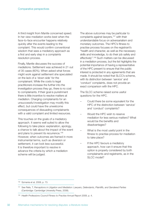A third insight from Mantle concerned speed. In her view mediation works best when the face-to-face encounter happens relatively quickly after the events leading to the complaint. This would confirm conventional wisdom that sees a mediatory approach as a first and early step in a complaints resolution process.

Finally, Mantle discusses the success of mediations. Settlement was achieved in 21 out of 35 cases (60%). When asked what forces might work against settlement she speculated on the lack of a 'down side' for the complainant. While the costs to legal practitioners increase the further into the investigation process they go, there is no cost to complainants. If their goal is punishment there is little incentive to resolve matters at mediation. Charging complainants for an unsuccessful investigation may modify this effect, but could have the unwelcome consequences of dissuading complainants with a valid complaint and limited resources.

This touches on the goals of a mediatory approach. It seems well suited to allow the following to take place: explanation, apology, a chance to talk about the impact of the event and plans to prevent its recurrence. 156 However, when outcomes are framed in more instrumental terms, such as diversion or settlement, it can look less successful. It is therefore important to resolve in advance the criteria by which a mediation scheme will be judged.

The above outcomes may be particular to complaints against lawyers, <sup>157</sup> with their understandable focus on adversarialism and monetary outcomes. The HPC's fitness to practise process focuses on the registrant's "health and character, as well as the necessary skills and knowledge, to do their job safely and effectively". <sup>158</sup> Such matters can be discussed in a mediation process, but the list highlights the potential importance of having a representative of the HPC present to ensure that the public interest is protected in any agreements that are made. It should be noted that SLCC's scheme, with its distinction between 'service' and 'conduct' complaints, does not provide an exact comparison with the HPC.

The SLCC scheme raised some useful questions for the HPC.

- Could there be some equivalent for the HPC of the distinction between 'service' and 'conduct' complaints?
- Would the HPC wish to reserve mediation for less serious matters? What would be the benefits and disadvantages?
- What is the most useful point in the fitness to practise process for mediation to take place?
- If the HPC favours a mediatory approach, how can it ensure that this option is properly considered by both complainants and registrants, as in the SLCC model?

<sup>156</sup> Szmania et al, 2008, p. 73.

<sup>157</sup> See Relis, T, *Perceptions in Litigation and Mediation: Lawyers, Defendants, Plaintiffs, and Gendered Parties* (Cambridge: Cambridge University Press, 2008).

<sup>158</sup> *Health Professions Council Fitness to Practise Annual Report 2009*, p. 4.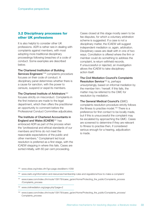# **3.2 Disciplinary processes for other UK professions**

It is also helpful to consider other UK professions. ADR is rather rare in dealing with complaints against members, with most adopting more traditional disciplinary proceedings following breaches of a code of conduct. Some examples are described below.

#### **The Chartered Institution of Building**

**Services Engineers'** <sup>159</sup> complaints procedure focuses on their code of conduct. A disciplinary panel determines whether there is a cause for sanction, with the power to censure, suspend or expel its members.

#### **The Chartered Institute of Arbitrators**<sup>160</sup>

focuses strictly on misconduct. Complaints in the first instance are made to the legal department, which then offers the practitioner an opportunity to comment before the Professional Conduct Committee adjudicates.

#### **The Institute of Chartered Accountants in England and Wales (ICAEW)** <sup>161</sup> has

embraced ADR as part of the process when the "professional and ethical standards of our members and firms do not meet the reasonable expectations of the public and other members." Complainant led local resolution is preferred as a first stage, with the ICAEW stepping in where this fails. Cases are sorted initially, with 60 per cent proceeding.

Cases closed at this stage mostly seem to be fee disputes, for which a voluntary arbitration scheme is suggested. If a case is not a disciplinary matter, the ICAEW will suggest independent mediation or, again, arbitration. Disciplinary cases are dealt with in one of two ways. Conciliation is offered where the firm or member could do something to address the complaint, ie return withheld records. If unsuccessful or rejected, an investigation allows the ICAEW to take disciplinary action itself.

**The Civil Mediation Council's Complaints Resolution Service**<sup>162</sup> is, perhaps unsurprisingly, based on informal mediation by the member him / herself. If this fails, the matter may be referred to the CMC for resolution by mediation.

**The General Medical Council's** (GMC) complaints resolution procedure strictly follows the fitness to practise model.<sup>163</sup> There is a preference for first contact to be locally made, but if this is unsuccessful the complaint may be escalated by approaching the GMC. Cases are screened to determine if they are relevant to fitness to practise then, if considered serious enough for a hearing, adjudication is made.

- <sup>159</sup> www.cibse.org/index.cfm?go=page.view&item=1058
- <sup>160</sup> www.ciarb.org/information-and-resources/membership-rules-and-regulations/how-to-make-a-complaint/
- <sup>161</sup> www.icaew.com/index.cfm/route/139178/icaew\_ga/en/Home/Protecting\_the\_public/Complaints\_process /Complaints\_process
- <sup>162</sup> www.civilmediation.org/page.php?page=2
- <sup>163</sup> www.icaew.com/index.cfm/route/139178/icaew\_ga/en/Home/Protecting\_the\_public/Complaints\_process/ Complaints\_process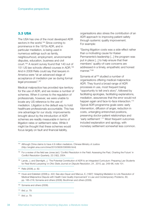### **3.3 USA**

The USA has one of the most developed ADR sectors in the world.<sup>164</sup> Since coming to prominence in the 1970s ADR, and in particular mediation, is being used in numerous settings such as family, neighbourhood, employment, environmental disputes, education, business and civil court. <sup>165</sup> A recent survey found that 140 out of 151 US law schools offered courses in ADR. 166 And in 2008 Relis could say that lawyers in America were "at an advanced stage of acceptance of mediation per se during formal legal processes".<sup>167</sup>

Medical malpractice has provided ripe territory for the use of ADR, and we review a number of schemes. When it comes to the regulation of professionals, however, we were unable to locate any US reference to the use of mediation. Litigation is the default way to hold healthcare professionals accountable. This has one advantage for our study: improvements brought about by the introduction of ADR schemes are readily measurable in terms of litigation rates or settlement rates. While it might be thought that these schemes would focus largely on fault and financial liability,

organisations also stress the contribution of an ADR approach to improving patient safety through systemic quality improvement. For example:

"Saving litigation costs was a side-effect rather than a motivating cause for Kaiser Permanente's leadership [...] the program was put in place [...] to help ensure that their members' quality-of-care concerns are addressed in a timely, empathetic and honest manner."168

Szmania et al<sup>169</sup> studied a number of organisations offering medical malpractice ADR. They found a broad range of ADR processes in use, most frequent being "opportunity to tell one's story", followed by facilitating apologies, facilitating explanations, mediation, assurances that the error would not happen again and face-to-face interaction.<sup>170</sup> Typical ADR programme goals were: early intervention, diffusion of anger, reduction in costs, untangling entrenched positions, preserving doctor-patient relationships and 'early settlement'. <sup>171</sup> Most frequent outcomes included explanation and apology, with monetary settlement somewhat less common.

164 Although China claims to have 4.9 million mediators. Chinese Ministry of Justice (http://english.sina.com/china/2010/0828/336569.html)

169 Szmania and others (2008).

<sup>170</sup> *Ibid,* p. 79.

<sup>171</sup> *Ibid*, p. 79.

<sup>165</sup> For a review of the field see Jones (ed.) 'Conflict Resolution in the Field: Assessing the Past, Charting the Future' in *Conflict Resolution Quarterly*, 22 (1&2), 2004.

<sup>166</sup> Lande, J, and Sternlight, J, 'The Potential Contribution of ADR to an Integrated Curriculum: Preparing Law Students for Real World Lawyering' in *Ohio State Journal on Dispute Resolution*, 24 , 2010, pp. 249–96, note 101.

<sup>167</sup> Relis (2008), p. 82.

<sup>168</sup> Houk and Edelstein (2008) p. 422; See also Dauer and Marcus, E, (1997) 'Adapting Mediation to Link Resolution of Medical Malpractice Dispute with Health Care Quality Improvement' in *Law and Contemporary Problems*, 60, pp. 185–218; Szmania and others (2008); Boothman and others (2009).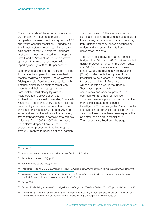The success rate of the schemes was around 90 per cent. <sup>172</sup> The authors made a comparison between medical malpractice ADR and victim-offender mediation, <sup>173</sup> suggesting that in both settings victims can find a way to gain control of their vulnerability. Significant cost savings were also noted when hospitals introduced an "interest-based, collaborative approach to claims management" with one reporting savings of \$52,000 per case. 174

Boothman et al studied one institution's efforts to manage the apparently inexorable rise in medical malpractice claims. The University of Michigan Health Service sets out to deal with potential claims by being transparent with patients and their families, apologising immediately if fault clearly lay with the healthcare team, always offering an explanation while robustly defending 'medically reasonable' decisions. Every potential claim is reviewed by an experienced member of staff. While not strictly speaking a form of ADR, the scheme does provide evidence that an open, transparent approach to complainants can pay dividends: from 2002 to 2007 the number of open claims dropped from 220 to 83, the average claim processing time had dropped from 20.3 months to under eight and litigation

costs had halved. <sup>175</sup> The study also reports significant medical improvements as a result of the scheme, hypothesising that a move away from 'defend and deny' allowed hospitals to understand and act on insights from unexpected incidents.

The USA Medicare system had an annual budget of \$486 billion in 2009. <sup>176</sup> A substantial quality improvement programme was initiated in 2004177 and one of its innovations was to enable Quality Improvement Organizations (QIO's) to offer mediation in place of the traditional review process. <sup>178</sup> In proposing the use of mediation in Medicare one writer suggested it would rest upon a "basic assumption of patient competency and personal power."179 In common with a number of mediation schemes, there is a preliminary sift so that the more serious matters go straight to investigation. Those designated "no substantial improvement opportunities identified" or "the care could reasonably have been expected to be better" can go on to mediation.<sup>180</sup> The process is outlined over the page.

- <sup>173</sup> Now known in the UK as restorative justice; see Section 4.2.5 below.
- 174 Szmania and others (2008), p. 77.
- <sup>175</sup> Boothman and others (2009), p. 144.

<sup>177</sup> *Medicare's Quality Improvement Organization Program: Maximizing Potential (Series: Pathways to Quality Health Care)*, 2006. Available from www.nap.edu/catalog/11604.html

<sup>172</sup> *Ibid*, p. 81.

<sup>176</sup> President's Fiscal Year CMS 2009 Budget Request. Available at www.hhs.gov/asl/testify/2008/02/t20080214a.html

<sup>178</sup> *Ibid*, p. 308.

<sup>179</sup> Bernard, P 'Mediating with an 800 pound gorilla' in *Washington and Lee Law Review*, 60, 2003, pp. 1417–59 at p. 1450.

<sup>180</sup> *Medicare's Quality Improvement Organization Program* (see note 177), p. 308. See also *Mediation: A New Option for Medicare Beneficiaries Available* from www.cms.gov/BeneComplaintRespProg/Downloads/3a.pdf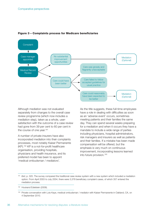

#### **Figure 3 – Complaints process for Medicare beneficiaries**

Although mediation was not evaluated separately from changes to the overall case review programme (which now includes a mediation step), taken as a whole, usersatisfaction with the outcome of a case review had gone from 39 per cent to 60 per cent in the course of one year.<sup>181</sup>

A number of private insurers have also incorporated mediation into their complaints processes, most notably Kaiser Permanente (KP). <sup>182</sup> KP is a not-for-profit healthcare organisation, providing hospitals, physicians and health insurance, and its preferred model has been to appoint 'medical ombudsman / mediators'.

As the title suggests, these full-time employees have a role in dealing with difficulties as soon as an 'adverse event' occurs, sometimes meeting patients and their families the same day. They can spend several weeks preparing for a mediation and when it occurs they have a mandate to include a wide range of parties including physicians, hospital administrators, risk managers and insurers as well as patients and their families. If a mistake has been made compensation will be offered, but the emphasis is very much on continuous improvement, incorporating lessons learned into future provision. 183

<sup>181</sup> *Ibid*, p. 320. The survey compared the traditional case review system with a new system which included a mediation option. From April 2003 to July 2004, there were 3,378 beneficiary complaint cases, of which 357 entered the mediation process.

<sup>182</sup> Houkand Edelstein (2008).

<sup>183</sup> Private conversation with Lois Kaye, medical ombudsman / mediator with Kaiser Permanente in Oakland, CA, on 4 September 2010.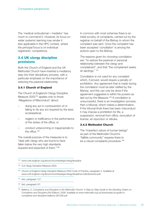The 'medical ombudsman / mediator' has much to commend it. However, its focus on wider systemic learning may render it less applicable in the HPC context, where the principal focus is on individual registrants' competence.

# **3.4 UK clergy discipline provisions**

Both the Church of England and the UK Methodist Church have inserted a mediatory step into their disciplinary process, with a particular emphasis on the importance of restoring the pastoral relationship.

#### **3.4.1 Church of England**

The Church of England's Clergy Discipline Measure 2003<sup>184</sup> applies only to those 'Allegations of Misconduct' about:

- doing any act in contravention of or failing to do any act required by the laws ecclesiastical;
- neglect or inefficiency in the performance of the duties of the office; or
- conduct unbecoming or inappropriate to the office. 185

The overall purpose of the measures is to "deal with clergy who are found to have fallen below the very high standards required and expected of them."186

In common with most schemes there is an initial scrutiny of complaints, carried out by the registrar on behalf of the Bishop to whom the complaint was sent. Once the complaint has been accepted 'conciliation' is among the actions open to the Bishop.

The reasons given for choosing conciliation are: "to restore the pastoral or personal relationship between the clergy and complainant", and that "the complainant seeks an apology." <sup>187</sup>

Conciliation is not used for any complaint which, if proved, would require a penalty of prohibition. Any agreement that is made during the conciliation must be later ratified by the Bishop, and this can only be done if the agreement suggested is within his powers as laid out by the Measure.<sup>188</sup> If conciliation is unsuccessful, there is an investigation process, then a tribunal, which makes a determination. If the tribunal finds there has been misconduct it may impose a prohibition for life, a suspension, removal from office, revocation of license, an injunction or rebuke.

#### **3.4.2 Methodist Church**

The "imperfect nature of human beings" as part of the Methodist Church's "fallible community" requires there to be a robust complaints procedure.<sup>189</sup>

<sup>184</sup> www.cofe.anglican.org/about/churchlawlegis/clergydiscipline

<sup>185</sup> S.8 Clergy Discipline Measure 2003.

<sup>186</sup> Church of England Clergy Discipline Measure 2003 Code of Practice, paragraph 4. Available at www.cofe.anglican.org/about/churchlawlegis/clergydiscipline/codeofpractice.pdf

<sup>187</sup> *Ibid*, paragraph 127.

<sup>188</sup> *Ibid*, paragraph137.

<sup>189</sup> Bellamy, C, Complaints and Discipline in the Methodist Church: A Step by Step Guide to the Standing Orders on *Complaints and Discipline [3rd Edition]*, 2008. Available at www.methodist.org.uk/downloads/cd-guide-tocomplaints-and-discipline-bellamy-091208.pdf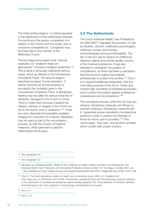The initial sorting stage is: "a critical appraisal of the significance of the relationship between the standing of the person complained of in relation to the Church and the words, acts or omissions complained of." Complaints may be made about any member of the Methodist Church.

The first stage encourages local, informal resolution, by "whatever steps are appropriate"' including mediated settlement. 190 This is done in all except sufficiently serious cases, which go directly to the Connexional Complaints Panel. The second stage is described as being 'formal resolution'. If neither informal nor formal resolution is successful the complaint goes to the Connexional Complaints Panel. A disciplinary hearing may be called for serious breaches of discipline, disregard to the church or if they "have or might have seriously impaired the mission, witness or integrity of the Church by his or her words, acts or omissions."191 There are many disposals and penalties available, ranging from expulsion to a rebuke. Mediation may be used as part of the reconciliation process, as with the Church of England measures, when personal or pastoral relationships are at issue.

# **3.5 The Netherlands**

The Dutch Individual Health Care Professions Act (Wet BIG)<sup>192</sup> regulates the provision of care by dentists, doctors, healthcare psychologists, midwives, nurses, pharmacists, physiotherapists and psychotherapists. The aim of the Act was to replace an ineffectual statutory regime and provide greater scrutiny of the medical professions. It was also intended to strengthen the position of complainants, as there had been a perception that the previous regime had enabled professionals to protect one another. <sup>193</sup> This in turn required additional safeguards, with the over-riding purpose of the Act to "foster and monitor high standards of professional practice and to protect the patient against professional carelessness and incompetence."194

The complaints process under this Act has two streams: disciplinary measures and fitness to practise measures. Disciplinary measures aim to "guarantee proper standards of professional practice in order to protect the interests of those for whom care is provided."195 Two norms apply: 'due care', and all other activities which conflict with proper practice.

<sup>194</sup> *Ibid*, p. 5.

<sup>190</sup> *Ibid*, paragraph 2.6.

<sup>191</sup> *Ibid*, paragraph 5.3.

<sup>192</sup> Ministerie van Volksgezondheid, Welzijn en Sport (Ministry of Health, Welfare and Sport, the Netherlands), *The Individual Health Care Professions Act International Publication Series (number 10)*, The Hague, October 2001, pp. 1–69. Available from http://english.minvws.nl/includes/dl/openbestand.asp?File=/images/big-eng\_tcm20-107817.pdf

<sup>193</sup> Hout, E, The Dutch disciplinary system for health care: an empirical study, 2006, p. 9. Available from http://dare.ubvu.vu.nl/bitstream/1871/9194/1/binnenwerk\_proefschrift\_Hout.pdf This thesis pays particular attention to the application of a professional disciplinary regime (already applied to the 'old professions' of medicine, dentistry and pharmacy) to the 'new professions' of psychology, physiotherapy and nursing.

<sup>195</sup> *Ibid*, p. 10.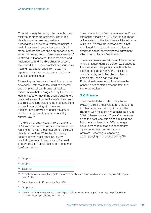Complaints may be brought by patients, their relatives or other professionals. The Public Health Inspector may also institute proceedings. Following a written complaint, a preliminary investigation takes place. At this stage, both parties are given an opportunity to state their views, and an "amicable agreement" is offered. <sup>196</sup> If accepted, this is recorded and implemented and the disciplinary process is terminated. If not, the complaint continues to a hearing. Sanctions range from a warning, reprimand, fine, suspension or conditions on practice, to striking off.

Fitness to practise means literal fitness: cases cover only unfitness as the result of a mental and / or physical condition or of habitual misuse of alcohol or drugs. <sup>197</sup> Only the Public Health Inspector may bring such a case and a board will assess the practitioner's fitness with possible sanctions including putting conditions on practice or striking off. There are, in addition, penal provisions under the act, all of which would be otherwise covered by criminal law. 198

The division of case types mirrors that of the HPC, with the Dutch Fitness to Practise cases running in line with those that go to the HPC's Health Committee. While the disciplinary scheme covers most other issues, by bracketing norms of due care and "against proper practice" it excludes some 'consumertype' complaints.

The opportunity for "amicable agreement" is an interesting variant on ADR, but like a number of innovations in this field there is little evidence of its use. <sup>199</sup> While the methodology is not mentioned, it could work as mediation or simply as a third-party proposed agreement which the parties are free to reject.

There has been some criticism of the scheme. A further legally qualified person was added to the five-person disciplinary boards with the intention of strengthening the position of complainants, but in fact the number of complaints upheld has reduced.<sup>200</sup> Professionals were also critical where the panel did not contain someone from the same profession. 201

# **3.6 France**

The French Médiateur de la République (MDLR) fulfils a similar role to an ombudsman in other countries, helping citizens in their disputes with the state and administration. In 2009, following almost 40 years' experience since the post was established in 1973, the Médiateur declared that: "We no longer have to manage a case but accompany a person to help him overcome a problem. Receiving is respecting, accompanying and reconstructing."202

<sup>196</sup> *Ibid*, p. 11.

<sup>197</sup> *Ibid*, p. 12.

<sup>198</sup> *Ibid*, p. 13.

<sup>199</sup> An evaluation of the disciplinary system makes no mention of amicable settlement occurring in its 180 pages – Hout (2006).

<sup>200</sup> From 19 per cent to 15 per cent, *Ibid*, p. 130.

<sup>201</sup> *Ibid*, p. 130.

<sup>&</sup>lt;sup>202</sup> Mediator of the French Republic, Annual Report 2009, www.mediateur-republique.fr/fic\_bdd/pdf\_fr\_fichier/ 1271756115\_Rapport\_2009\_ANGLAIS.pdf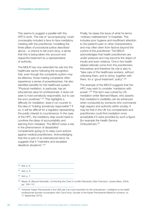This seems to suggest a parallel with the HPC's work. The role of 'accompanying' could conceivably included a face-to-face mediatory meeting with the practitioner, modelling the three pillars of procedural justice described above – a chance to tell one's story, a sense that this is being taken into account and respectful treatment by a representative of authority.

The MDLR has now extended his role into the healthcare sector following the recognition that, even though the complaints system may be effective, those making complaints often experience a sense of powerlessness. He also identifies benefits for the healthcare system: "Physical mediation, in particular, has an educational value for professionals: it does not seek to hold somebody responsible, but to use the error positively". <sup>203</sup> This highlights a difficulty for mediation: does it run counter to the idea of 'holding somebody responsible'? If so, it will be difficult for a regulator representing the public interest to countenance. In the case of the HPC, the mediatory step would need to combine the ideas of accountability and learning from mistakes. The MDLR notes a rise in the phenomenon of dissatisfied complainants going on to raise court actions against medical practitioners. Acknowledging that this is part of an international trend, he suggests that it "maintains and escalates deadlock situations". 204

Finally, he raises the issue of what he terms 'ordinary maltreatment' in hospitals. This includes poor hygiene and insufficient attention to the patient's pain or other characteristics, and may often stem from factors beyond the control of the practitioner. The MDLR acknowledges that health practitioners are under pressure and may become the object of insults and even violence. One in five health related referrals come from the practitioners themselves and therefore his role is also to "take care of the healthcare workers, without criticising them, and to strive, together with them, for a 'good-treatment' policy". 205

The example of the MDLR suggests that the HPC may wish to consider 'mediators with power'. <sup>206</sup> This term was coined by US mediation writer Bernard Mayer, who asserts that mediation's credibility can be enhanced when conducted by someone who commands high respect and authority within society. It may be that in the UK too complainants and practitioners could find mediation more acceptable if it were provided by such a figure (for example the Health Service Ombudsman). 207

<sup>203</sup> *Ibid*, p. 6.

<sup>204</sup> *Ibid*, p. 6.

<sup>205</sup> *Ibid*, p. 7.

<sup>206</sup> Mayer, B, *Beyond Neutrality: Confronting the Crisis in Conflict Resolution* (San Francisco: Jossey-Bass, 2004), pp. 108–110.

<sup>&</sup>lt;sup>207</sup> However, Kaiser Permanente in the USA see it as more important for the ombudsmen / mediators to be health professionals (private conversation with Carol Houk, founder of the Kaiser Permanente MedicOm scheme, on 11 September 2010).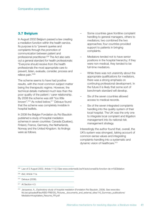### **3.7 Belgium**

In August 2002 Belgium passed a law creating a mediation function within the health service. Its purpose is to "prevent queries and complaints through the promotion of communication between patient and professional practitioner. <sup>208</sup> The Act also sets out a general standard for health professionals: "Everyone should receive from the health professionals the most appropriate care to prevent, listen, evaluate, consider, process and relieve pain."209

The scheme seems to have had positive results, with the most common subject matter being the therapeutic regime. However, the technical details mattered much less than the poor quality of the patient / carer relationship. By 2008 the scheme was still "too little known". <sup>210</sup> As noted below, <sup>211</sup> Delvaux found that the scheme was completely invisible in hospital leaflets.

In 2008 the Belgian Fondation du Roi Baudoin published a study of hospital mediation schemes in seven countries: Canada (Quebec), Finland, France, Germany, the Netherlands, Norway and the United Kingdom. Its findings were as follows.

- Some countries gave frontline complaint handling to general managers, others to mediators; two combined the two approaches; four countries provided support to patients in bringing complaints.
- Mediators tended not to have senior positions in the hospital hierarchy; if they were non-medical, they tended to be full-time mediators.
- While there was not unanimity about the appropriate qualifications for mediators, there was a strong emphasis on continuing professional development. In the future it is likely that some sort of benchmark standard will develop.
- Six of the seven countries allowed access to medical records.
- Six of the seven integrated complaints handling into the quality system of their local hospital. The UK was the only one to integrate local complaint and litigation management into its national risk management strategy.

Interestingly the author found that, overall, the UK's system was strongest, taking account of common-sense values and integrating complaints-handling into a systematic and dynamic vision of healthcare. 212

- <sup>210</sup> Delvaux (2008).
- <sup>211</sup> At Section 4.3.

<sup>208</sup> Law of 2 August 2002, Article 11 § 2 See www.ordomedic.be/fr/avis/conseil/la-fonction-de-m%E9diation

<sup>209</sup> *Ibid*, Article 11a.

<sup>212</sup> Jacquerye, A., *Exploratory study of hospital mediation* (Fondation Roi Baudoin, 2008). See www.kbsfrb.be/uploadedFiles/KBS-FRB/05)\_Pictures,\_documents\_and\_external\_sites/14)\_Summary\_publications/ MediationHospitaliere\_Resume\_FR.pdf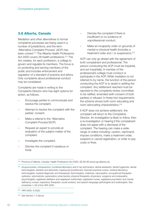### **3.8 Alberta, Canada**

Mediation and other alternatives to formal complaints processes are being used in a number of jurisdictions, and the term 'Alternative Complaint Process' (ACP) has been coined. <sup>213</sup> The Alberta Health Professions Act 2000 covers 28 health professions. <sup>214</sup> The Act creates, for each profession, a college to govern and regulate its members. The focus is on protecting and serving members of the public and includes enforcement and regulation of a standard of practice and ethics. Only complaints about professional conduct may be considered.

Complaints are made in writing to the Complaints Director who has eight options for action, as follows.

- Encourage parties to communicate and resolve the complaint.
- Attempt to resolve the complaint with the parties' consent.
- Make a referral to the 'Alternative Complaint Process'(ACP).
- Request an expert to provide an evaluation of the subject-matter of the complaint.
- Investigate the complaint.
- Dismiss the complaint if vexatious or trivial.
- Dismiss the complaint if there is insufficient or no evidence of unprofessional conduct.
- Make an incapacity order on grounds of mental or physical health (includes a treatment order and / or suspension). 215

ACP can only go ahead with the agreement of both complainant and professional. The person conducting the ACP must be impartial, and act impartially. A member of the professional's college must conduct or participate in the ACP. While mediation is not referred to by name, the function of the person conducting the ACP is to assist in settling the complaint. Any settlement reached must be reported to the complaints review committee to be ratified, amended (with consent of both parties) or refused. In these two requirements the scheme shows both norm educating and norm advocating characteristics.<sup>216</sup>

If ACP does not achieve settlement, the complaint will return to the Complaints Director. An investigation is likely to follow, then a re-investigation or hearing if the complainant does not agree with a dismissal of the complaint. The hearing can make a widerange of orders including: caution, reprimand, impose conditions, make a treatment order, suspend or cancel registration, or order to pay costs or fines.

<sup>213</sup> Province of Alberta, Canada: Health Professions Act 2000, SS 58–60 (www.qp.alberta.ca).

<sup>&</sup>lt;sup>214</sup> Acupuncturists; chiropractors; combined laboratory and X-ray technicians; dental assistants; dental hygienists; dental technologists; dentists and denturists; hearing aid practitioners; licensed practical nurses; medical laboratory technologists; medical diagnostic and therapeutic technologists; midwives; naturopaths; occupational therapists; opticians; optometrists; paramedics; pharmacists; physical therapists; physicians, surgeons and osteopaths; psychologists; registered dietitians and registered nutritionists; registered nurses; registered psychiatric and mental deficiency nurses; respiratory therapists; social workers; and speech-language pathologists and audiologists. See schedules 1–28 of the HPA 2000.

<sup>215</sup> HPA 2000, S.55(2).

<sup>216</sup> See Section 1.3 above.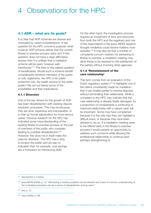# 4 Observations for the HPC

# **4.1 ADR – what are its goals?**

It is clear that ADR schemes are diverse and motivated by varied considerations. A key question for the HPC concerns purpose: what could an ADR scheme deliver that the current fitness to practise process does not? If this question does not have a clear affirmative answer then it is unlikely that a mediation scheme will be used, however wellintentioned. <sup>217</sup> This links to the related question of beneficiaries. Would such a scheme benefit complainants (whether members of the public or not), registrants, the HPC in its public protection role, the health service or the wider public? We set out below some of the possibilities and their implications.

#### **4.1.1 Diversion**

One of the key drivers for the growth of ADR has been dissatisfaction with existing disputeresolution processes. This may be because they are slow, expensive and inaccessible, or to free-up formal adjudication for more serious cases. Previous research for the HPC has indicated some misunderstanding of the existing fitness to practise process on the part of members of the public who complain, leading to possible dissatisfaction. 218 However, this does not in itself make the case for diversion. The HPC has a duty to protect the public and we see no indication that, for example, cost savings are a motivation for introducing ADR.

On the other hand, the investigation process requires an investment of time and resources from both the HPC and the registrant and one of the respondents in the Ipsos MORI research thought mediation could resolve matters more speedily.<sup>219</sup> It may also be that a number of complaints concern matters not pertaining to fitness to practise: a mediation meeting may allow these to be resolved to the satisfaction of the parties without involving other agencies.

#### **4.1.2 'Reinstatement of the care relationship'**

This term comes from an evaluation of the Dutch regulatory system.<sup>220</sup> It highlights one of the claims consistently made for mediation: that it can enable parties to resolve disputes without terminating their relationship. While a complaint to the HPC may indicate that the care relationship is already fatally damaged, for a proportion of complainants a continuing or improved relationship with a valued carer will be important. Some may have complained because it is the only way they can highlight a difficult issue, or because they have been advised to do so. If a mediation meeting were to be offered early in the fitness to practise process it would present an opportunity to address such concerns while allowing the professional relationship to continue (and perhaps strengthening it).

<sup>217</sup> See Section 4.3 below.

<sup>218</sup> Ipsos MORI (2009), p. 12: "Attempting to resolve problems can be stressful and a lack of common understanding of the complaints procedure can be a source of dissatisfaction among users."

<sup>219</sup> *Ibid*, p. 31.

<sup>220</sup> Hout (2006), p.138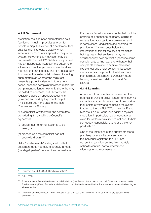#### **4.1.3 Settlement**

Mediation has also been characterised as a 'settlement ritual'. It provides a forum for people in dispute to arrive at a settlement that satisfies their interests, a quality which accounts for much of its appeal to the justice system. However, this motivation may be problematic for the HPC. While a complainant has an indisputable interest in the outcome of a fitness to practise process, she or he does not have the only interest. The HPC has a duty to consider the wider public interest, including such matters as whether the registrant presents a potential danger in future. In a sense, once the complaint has been made, the complainant no longer 'owns' it: she or he may be called as a witness, but ultimately the regulator's decision about proceeding is governed by the duty to protect the public. This is spelt out in the case of the Irish Pharmaceutical Society:

"If a complaint is withdrawn, the committee considering it may, with the Council's agreement,

- (a decide that no further action is to be taken, or
- (b) proceed as if the complaint had not been withdrawn."221

Relis' 'parallel worlds' findings tell us that settlement does not feature strongly in most (non-legal) parties' perspectives on mediation. For them a face-to-face encounter held out the promise of a chance to be heard, leading to explanation, apology, future prevention and, in some cases, vindication and shaming the practitioner.<sup>222</sup> We discuss below the implications of this for the style of mediation, but it appears that settlement may be simultaneously over-optimistic (because some complainants will not want to withdraw their complaints even after a positive mediation experience) and under-achieving (because mediation has the potential to deliver more than a simple settlement, particularly future learning, a restored relationship and / or closure).

#### **4.1.4 Learning**

A number of commentators have noted the potential of ADR to deliver longer-term learning as parties to a conflict are forced to reconsider their points of view and scrutinise the events that led to the conflict.<sup>223</sup> To quote the French Médiateur de la République again: "Physical mediation, in particular, has an educational value for professionals: it does not seek to hold somebody responsible, but to use the error positively."224

One of the limitations of the current fitness to practise process is its concentration on the individual registrant: the HPC has no remit to sanction entities like hospitals or health centres, nor to recommend wider systemic improvements.

<sup>&</sup>lt;sup>221</sup> Pharmacy Act 2007, S.44 (Republic of Ireland).

<sup>222</sup> Relis, 2008.

<sup>&</sup>lt;sup>223</sup> For example the French Médiateur de la République (see Section 3.6 above; in the USA Dauer and Marcus (1997), Boothman et al (2009), Szmania et al (2008) and both the Medicare and Kaiser Permanente schemes cite learning as a key objective.

<sup>224</sup> Médiateur de la République, *Annual Report 2009*, p. 6; see also Donaldson in *Trust, Assurance, Safety* (2007) (see note 78).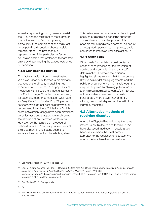A mediatory meeting could, however, assist the HPC and the registrant to make greater use of the learning from complaints, particularly if the complainant and registrant participate in a discussion about possible remedial steps. The presence of a representative of the particular profession could also enable that profession to learn from errors by disseminating the agreed outcomes of mediation.

#### **4.1.5 Customer satisfaction**

This factor should not be underestimated. While evaluation of outcomes is problematic, because of the difficulty in attaining true experimental conditions, <sup>225</sup> the popularity of mediation with its users is almost universal. 226 The Scottish Legal Complaints Commission, for example, found that mediation was rated as 'Very Good' or 'Excellent' by 72 per cent of its users, while 86 per cent said they would recommend it to others.<sup>227</sup> Mediation's high client-satisfaction ratings have been dismissed by critics asserting that people simply enjoy the attention of an interested professional. However, as the literature on procedural justice illustrates, <sup>228</sup> parties' positive views of their treatment in one setting seems to enhance their respect for the whole system.

This review was commissioned at least in part because of disquieting concerns about the current fitness to practise process: it is possible that a mediatory approach, as part of an integrated approach to complaints, could contribute to improved user-satisfaction.<sup>229</sup>

#### **4.1.6 Other goals**

Other goals for mediation could be: faster, cheaper case-processing; the reduction of conflict; and a commitment to party selfdetermination. However, the critiques highlighted above suggest that it may be less likely to deliver definitive judgements and the public pronouncement of norms (although this may be tempered by allowing publication of anonymised mediated outcomes). It may also not be suitable where one party holds considerably more power than another, although much will depend on the skill of the individual mediator.

# **4.2 Alternative methods of resolving disputes**

Alternative Dispute Resolution, as the name implies, is not limited to one technique. We have discussed mediation in detail, largely because it remains the most common approach to the resolution of disputes. We now consider alternatives to mediation.

<sup>225</sup> See Menkel-Meadow (2010) (see note 13).

<sup>226</sup> See, for example, Jones (ed.) (2004); Doyle (2006) (see note 43); Urwin, P and others, *Evaluating the use of judicial mediation in Employment Tribunals (Ministry of Justice Research Series 7/10)*, 2010 (www.justice.gov.uk/publications/judicial-mediation-research.htm); Ross and Bain (2010) (evaluation of a small claims mediation pilot in Scotland) (see note 43).

<sup>&</sup>lt;sup>227</sup> See Mantle (2010). See appendix.

<sup>228</sup> *Ibid*.

<sup>&</sup>lt;sup>229</sup> With wider systemic benefits for the health and wellbeing sector – see Houk and Edelstein (2008); Szmania and others (2008).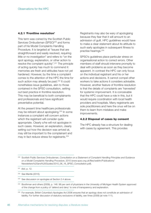#### **4.2.1 'Frontline resolution'**

This term was coined by the Scottish Public Services Ombudsman (SPSO)<sup>230</sup> and forms part of his Model Complaints Handling Procedure. It is targeted at "issues that are straightforward and easily resolved, requiring little or no investigation" and refers to "on the spot apology, explanation, or other action to resolve the complaint quickly". <sup>231</sup> The principle of acting quickly has much to commend it: memories are fresh and attitudes have not yet hardened. However, by the time a complaint comes to the attention of the HPC the time for such action may already be past.<sup>232</sup> It could nonetheless issue guidelines, akin to those contained in the SPSO consultation, setting out best practice in frontline resolution. This may be beneficial to both complainants and professionals and have significant preventative potential.

At the present time healthcare professionals may be reticent about apologising.<sup>233</sup> In some instances a complaint will concern actions which the registrant will consider quite appropriate. Clearly s/he will not apologise in such cases. However, an explanation, clearly setting out how the decision was arrived at, may still be important to the complainant and may in fact reduce stress for registrants. 234

Registrants may also be wary of apologising because they fear that it will amount to an admission of guilt. HPC guidelines would have to make a clear statement about its attitude to such early apologies in subsequent fitness to practise hearings. 235

SPSO's guidelines place particular stress on organisational action to correct errors. Other members of staff should intervene promptly to deal with problems as soon as they become apparent. In contrast the HPC can only focus on the individual registrant and his or her actions and decisions. It cannot compel other workers to take actions it considers advisable. However, another feature of frontline resolution is that the details of complaints are 'harvested' for systemic improvement. It is conceivable that the HPC could have a role in this, but it would require coordination with local health providers and hospitals. Many registrants are sole practitioners and here the onus will be on them to learn from mistakes and make improvements.

#### **4.2.2 Disposal of cases by consent**

The HPC already has a structure for dealing with cases by agreement. This provides

<sup>232</sup> See Mantle (2010).

<sup>233</sup> See discussion on apologies at Section 2.4 above.

<sup>234</sup> Boothman and others (2009), p. 146. 98 per cent of physicians in the University of Michigan Health System approved of the change from a policy of 'defend and deny' to one of transparency and explanation.

<sup>230</sup> Scottish Public Services Ombudsman, *Consultation on a Statement of Complaint Handling Principles and Guidance on a Model Complaints Handling Procedure*, 2010 (www.spso.org.uk/files/webfm/Publications/ Newsletters%20and%20Guides/2010\_06\_16\_SPSO\_Consultation.pdf).

<sup>231</sup> *Ibid*, p. 12.

<sup>&</sup>lt;sup>235</sup> For example, British Columbia's Apologies Act 2006 ensures that an apology does not constitute an admission of liability. For further discussion of statutory exclusions of liability, see Vines (2008) (at note 111).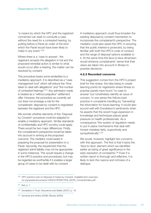"a means by which the HPC and the registrant concerned can seek to conclude a case without the need for a contested hearing, by putting before a Panel an order of the kind which the Panel would have been likely to make in any event."236

Where there is a 'case to answer', the registrant accepts the allegation in full and the proposed remedial action is similar to what would occur after a hearing, the matter can be resolved by consent.

This procedure bears some similarities to a mediatory approach. It is described as a "case management tool" which will reduce the "time taken to deal with allegations" and "the number of contested hearings".<sup>237</sup> Any admission made is treated as a "without prejudice" settlement offer. However, the procedure as currently set out does not envisage a role for the complainant: disposal by consent is negotiated between the registrant and the HPC.

We wonder whether elements of this 'Disposal by Consent' procedure could be adapted to enable a mediatory approach. Similar standards of confidentiality and HPC scrutiny could apply. There would be two major differences. Firstly, the complainant's perspective would be taken into account in arriving at the proposed outcome. The mediator could assist in preparing the proposal for presentation to a Panel. Secondly, the requirement that the registrant admit liability may not be appropriate in some instances. This would require a change in the HPC's practice and procedures, but may be regarded as worthwhile if it enables a larger group of cases to be dealt with by consent.

A mediatory approach could thus broaden the existing disposal by consent mechanism to incorporate the complainant's perspective. The mediator could also assist the HPC in ensuring that the public interest is protected, by being familiar with both the HPC's code of conduct and the range of disposal options available to it. At the same time the face-to-face dimension would enhance complainants' sense that their views are taken into account in fitness to practise decisions.

#### **4.2.3 Recorded concerns**

This suggestion comes from the HPC's project brief for this review, the idea being to create learning points for registrants where fitness to practise panels have found 'no case to answer' but nonetheless identify an issue of concern. In one sense this follows best practice in complaints handling by 'harvesting' the information for future learning. It would also accord well with Donaldson's sentiments when he asserts that the recent huge expansion in knowledge and techniques places great pressure on health professionals. As a consequence "the system of regulation needs to put in place mechanisms that deal with honest mistakes fairly, supportively and sympathetically".<sup>238</sup>

We would, however, highlight two concerns with this approach. The first is that it lacks the 'face-to-face' element which we identified earlier as being of great significance in the early resolution of complaints.<sup>239</sup> Even if a written report is thorough and reflective, it is likely to lack the nuance and richness of a dialogue.

<sup>&</sup>lt;sup>236</sup> HPC practice note on Disposal of Cases by Consent. Available from www.hpcuk.org/assets/documents/10002473PRACTICE\_NOTE\_ConsentOrders.pdf

<sup>237</sup> *Ibid*, p. 1.

<sup>&</sup>lt;sup>238</sup> Donaldson in Trust, Assurance and Safety (2007), p. 16.

<sup>&</sup>lt;sup>239</sup> Szmania and others (2008); Moody (2005).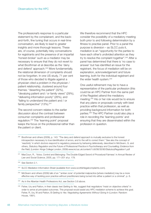The professional's response to a particular statement by the complainant, and the backand-forth, fine tuning that occurs in real-time conversation, are likely to lead to greater insights and more thorough lessons. These are, of course, potentially risky conversations for registrants and the presence of an impartial 'honest-broker' such as a mediator may be necessary to ensure that they do not revert to what Boothman et al describe as the 'deny and defend' approach. <sup>240</sup> More fundamentally, the relational dimension of complaints should not be forgotten. In one US study, 71 per cent of those who decided to litigate against a physician cited a problem in the physician / patient relationship, clustered around four themes: "deserting the patient" (32%), "devaluing patient and / or family views" (29%), "delivering information poorly" (26%), and "failing to understand the patient and / or family perspective" (13%). 241

The second concern relates to the earlier discussion about the contrast between consumer complaints and professional regulation. <sup>242</sup> The 'learning point' proposal keeps the focus on the professional rather than the patient or client.

We therefore recommend that the HPC consider the possibility of a mediatory meeting both prior to and following determination by a fitness to practise panel. Prior to a panel the purpose is diversion – as SLCC puts it, mediation is an "opportunity for the parties to have each other's undivided attention as they try to resolve the complaint together". <sup>243</sup> After a panel has determined that there is 'no case to answer' but has identified an issue for the registrant, the focus of mediation will be on explanation, acknowledgement and future learning, both for the individual registrant and the wider health system.<sup>244</sup>

One useful refinement may be to have a representative of the particular profession (this could be an HPC Partner from the same part of the Register) attend the mediatory meeting. <sup>245</sup> His or her role would be to ensure that any plans or proposals comply with best practice within that profession, as well as providing background information for both parties. <sup>246</sup> The HPC Partner could also play a role in recording the 'learning points' and ensuring that they are disseminated within the profession in question.

<sup>243</sup> SLCC Mediation Information Sheet (available from www.scottishlegalcomplaints.com).

<sup>244</sup> McGivern and others (2009) talk of an "'amber zone' of potential malpractice [where mediation] may be a more effective way of tackling poor practice without practitioners being turned into either a patient or a criminal", p. 6.

<sup>&</sup>lt;sup>240</sup> Boothman and others (2009), p. 143: "The deny and defend approach is mutually exclusive to the honest introspection necessary to true identification of errors, and to the will to correct them." See also the concept of 'reactivity' in which doctors respond to regulatory pressure by behaving defensively, described in McGivern, G. and others, *Statutory Regulation and the Future of Professional Practice in Psychotherapy and Counselling; Evidence from the Field*, (London: Kings College London, 2009) www.kcl.ac.uk/content/1/c6/06/35/90/StatutoryRegulation1.pdf

<sup>241</sup> MacCoun, R., 'Voice, Control and Belonging: The Double-Edged Sword of Procedural Fairness' in *Annual Review of Law and Social Science*, 2005, pp. 171–201 at p. 179.

<sup>242</sup> See Section 2.1.

<sup>&</sup>lt;sup>245</sup> As in the Albertan Health Professions Act, see Section 3.8 above.

<sup>246</sup> Fisher, Ury and Patton, in their classic text *Getting to Yes*, suggest that negotiators "insist on objective criteria" in order to arrive at principled outcomes. This proposal would assist any HPC mediation scheme to achieve this goal. Fisher, R, Ury, W and Patton, B *Getting to Yes: Negotiating Agreements Without Giving In* (London: Random House, 1991).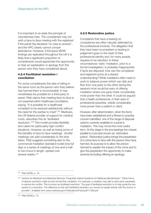It is important to re-state the principle of voluntariness here. The complainant may not wish a face-to-face meeting with the registrant if the panel has declared 'no case to answer', and the HPC clearly cannot compel attendance. However, if the Ipsos MORI findings are replicated throughout the UK it is likely that a significant proportion of complainants would appreciate the opportunity to hear an explanation or apology from the person who they have complained about.

#### **4.2.4 Facilitated resolution / conciliation**

For some complainants the idea of sitting in the same room as the person who they believe has harmed them is inconceivable. It may nonetheless be possible for a third party to assist. Platt claims that meeting face-to-face is not essential within healthcare conciliation, saying: "It is possible for a healthcare complaint to be resolved satisfactorily without the need for the parties to meet". <sup>247</sup> Medicare, the US federal provider of support for medical costs, describes this as 'facilitated resolution'. <sup>248</sup> This model provides flexibility and caters for particularly high-conflict situations. However, as well as losing some of the benefits of face-to-face meetings, 'shuttle' meetings can add considerably to the time taken. Platt suggests something akin to the commercial mediation standard model (one full day) or a series of meetings of one-and-a-half to two hours in length, spread over several weeks. 249

#### **4.2.5 Restorative justice**

Complaints that have a bearing on competence are often robustly defended by the professional involved. The allegation that they have been incompetent or lacking in judgement goes to the heart of their professional identity and, for many people, requires to be rebutted. In these circumstances 'early' mediation, prior to a formal investigation, is probably inappropriate. If facts are disputed, how can the complainer and registrant arrive at a shared understanding? While mediators often need to work to balance power (which can ebb and flow from one party to the other during the session) most would be wary of offering mediation where one party holds considerably more power than the other. It could be argued that a health professional, in their area of professional expertise, wields considerably more power than a patient or client.

However, after determination, when the facts have been established and a fitness to practise concern identified, one of the range of disposal options currently available to a panel is mediation. This may not be the most useful term. At this stage in the proceedings the closest parallel is a process known as 'restorative justice'. Restorative justice brings the perpetrator of a crime face to face with the person they have harmed. Its purpose is to allow the person harmed to explain the impact of the crime and to give the perpetrator the opportunity to make amends (including offering an apology).

<sup>247</sup> Platt (2008), p. 10.

<sup>&</sup>lt;sup>248</sup> Centers for Medicare and Medicaid Services 'Frequently Asked Questions for Medicare Beneficiaries': "Other forms of dispute resolution might be less formal than mediation. For example, a mediator may talk to each party separately to resolve the conflict. This is known as facilitated resolution. The goal of facilitated resolution is to help guide the two parties to a resolution. The difference is that with facilitated resolution you would not speak directly with the doctor or provider". Available from www.medicare.gov/Publications/Pubs/pdf/11348.pdf

<sup>249</sup> Platt (2008) p. 72.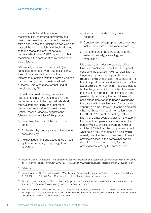Its proponents forcefully distinguish it from mediation: it is "motivated primarily by the need to address the harm done: it does not take place unless and until the person who has caused the harm has fully and freely admitted to their actions and is willing to take responsibility for them". <sup>250</sup> They suggest that mediation in the context of harm done would be a mistake:

"Worse still, a person harmed would (and should) be outraged by the suggestions that their primary need is to sort out their 'difference of opinion' with the person who has harmed them, so as to create a 'win-win' outcome. This is no place for that kind of moral neutrality."251

It could be argued that any mediatory approach taken after a finding against the professional, even if the disposal falls short of removal from the Register, ought more properly to be described as 'restorative justice'. Menkel-Meadow suggests the following characteristics of this process.

- 1) Describing the act and the harm it has done.
- 2) Explanation by the perpetrator of what was done and why.
- 3) Acknowledgement and acceptance of fault by the perpetrator (and apology, if not coerced).
- 4) Chance to understand why the act occurred.
- 5) Consideration of appropriate outcomes, not just for the victim but the wider community.
- 6) Reintegration of the perpetrator into the wider community, via apology and restitution. 252

It is useful to consider the parallels with a fitness to practise process. First, if the panel considers the allegation well-founded, it is no longer appropriate for the practitioner to dispute the circumstances. The complainant is then in a position to describe the impact of the act or omission on her / him. This could help to bridge the gap identified by Gulland between the causes of a problem and its effect. <sup>253</sup> The panel (and presumably the practitioner) will bring expert knowledge to bear in diagnosing the **cause** of the problem and, if appropriate, attributing blame. However, it is the complainer who has direct, first-hand information about the **effect**. A 'restorative meeting', after a finding of blame, could supplement the step in the current complaints procedure when the panel invites submissions from the registrant and the HPC (but not the complainant) about what action they should take. <sup>254</sup> This would remedy one drawback of the current fitness to practise process, ie the complainer has no voice in deciding the best way for the practitioner to remedy the harm caused.

<sup>250</sup> Brookes, D and McDonough, I, *The Differences Between Mediation and Restorative Justice/Practice* (Scottish Centre for Restorative Justice, November, 2006), p. 4. Available at www.restorativejusticescotland.org.uk/MedvsRJ-P.pdf

<sup>251</sup> *Ibid*, p. 6.

<sup>252</sup> Menkel-Meadow, C, 'Restorative Justice: What Is It and Does It Work?' in *Annual Review of Law and Social Science*, 3:10, 2007, pp. 10.1–10.27 at p.10.4 (Available at http://lawsocsci.annualreviews.org).

<sup>&</sup>lt;sup>253</sup> Gulland, J, cited in Adler, M, 'Tribunal Reform: Proportionate Dispute Resolution and the Pursuit of Administrative Justice' in *Modern Law Review*, 69 (6), 2006, pp. 958–85 at p. 968.

<sup>254</sup> Health Professions Council, *How to make a complaint about a health professional*, p. 7. Available at time of writing at www.hpc-uk.org/assets/documents/10002C24Howtomakeacomplaintaboutahealthprofessional.pdf Recently revised (2010) and republished as *How to raise a concern*.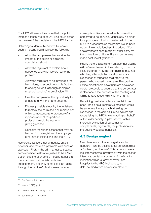The HPC still needs to ensure that the public interest is taken into account. This could either be the role of the mediator or the HPC Partner.

Returning to Menkel-Meadow's list above, such a meeting could achieve the following.

- Allow the complainant to describe the impact of the action or omission complained about.
- Allow the registrant to explain how it happened and what factors led to the problem.
- Allow the registrant to acknowledge the harm done, to accept her or his fault and to apologise for it (although apologies must be 'genuine' to be of value).<sup>255</sup>
- Give the complainant the opportunity to understand why the harm occurred.
- Discuss possible steps by the registrant to remedy the harm and / or improve her or his competence (the presence of a representative of the particular profession would be useful in giving guidance).
- Consider the wider lessons that may be learned for the registrant, the employer, other health institutions and the NHS.

Restorative justice is not without its critics, however, and there are problems with such an approach. First, in the criminal justice setting, some consider restorative justice to be a 'soft option' offering offenders a meeting rather than more conventional punishments like imprisonment. Second, some see it as 'going through the motions'. As discussed above,

apology is unlikely to be valuable unless it is perceived to be genuine. Mantle saw no place for a post-determination meeting within the SLCC's procedures as the parties would have no continuing relationship. She added: "If an apology hasn't been made by either party by then, I feel it would be unlikely to be genuine if made post-investigation". 256

Finally, there is a persistent critique that victims will be "re-victimized in their retelling of pain or injury suffered". <sup>257</sup> Some complainers may not wish to go through the possibly traumatic experience of repeating their story to the person who caused them harm. Restorative justice practitioners have therefore developed careful protocols to ensure that the perpetrator is clear about the purpose of the meeting and willing to take responsibility for the harm.

Redefining mediation after a complaint has been upheld as a 'restorative meeting' would be an innovative approach, drawing on experience in the criminal justice system and recognising the HPC's role in acting on behalf of the wider society. A pilot project, with a thorough evaluation of outcomes for complainants, registrants, the profession and the public, would be beneficial.

# **4.3 Benign neglect**

One phenomenon that emerged from the literature might be described as benign neglect or 'withering on the vine'. This occurs where a regulatory scheme, presumably with the best of intentions, contains a provision for referral to mediation which is rarely or never used. It applies to the HPC itself where, to date, no mediations have taken place. 258

<sup>&</sup>lt;sup>255</sup> See Section 2.4 above.

<sup>256</sup> Mantle (2010), p. 4.

<sup>257</sup> Menkel-Meadow (2007), p. 10.12.

<sup>&</sup>lt;sup>258</sup> See Section 1.2.1 above.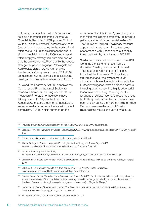In Alberta, Canada, the Health Professions Act sets out a thorough, integrated 'Alternative Complaints Resolution' (ACR) process. <sup>259</sup> And yet the College of Physical Therapists of Alberta (one of the colleges created by the Act) omits all reference to ACR in its guidance to the public about complaining, and its 2009 annual report refers simply to investigation, with dismissal or guilt the only outcomes. <sup>260</sup> And while the Alberta College of Speech-Language Pathologists and Audiologists clearly lists ACR among the functions of its Complaints Director, <sup>261</sup> its 2009 annual report names dismissal or resolution as hearing outcomes without reference to ACR.<sup>262</sup>

In Ireland the Pharmacy Act 2007 enables the Council of the Pharmaceutical Society to devise a scheme for resolving complaints by mediation. <sup>263</sup> To date no mediations have taken place.<sup>264</sup> In Belgium the Law of 22 August 2002 created a duty on all hospitals to set up a mediation scheme to deal with patient complaints. A 2008 article summed up the

scheme as "too little known", describing how mediation was almost completely unknown to patients and invisible on hospital leaflets. 265 The Church of England Disciplinary Measure appears to have fallen victim to the same phenomenon with just one case out of sixty three dealt with by conciliation in 2008.<sup>266</sup>

Similar results are not uncommon in the ADR world, as the title of one recent article illustrates: "Faster, Cheaper, and Unused: The Paradox of Grievance Mediation in Unionized Environments". <sup>267</sup> It contrasts striking cost and time savings vis-a-vis arbitration with very low uptake for mediation. Further investigation revealed hidden barriers, including union identity in a highly adversarial labour relations setting, meaning that the language of collaboration and reasonableness had little appeal. Similar factors seem to have been at play during the Northern Ireland Police Ombudsman's mediation pilot,<sup>268</sup> with disappointing results and very low take-up.

- <sup>263</sup> Ireland Pharmacy Act 2007 S.37, www.pharmaceuticalsociety.ie/Home/upload/File/Pharmacy\_Act\_2007/Pharmacy%20Act%202007.pdf
- <sup>264</sup> Confirmed in a private conversation with Ciara McGoldrick, Head of Fitness to Practise and Legal Affairs, in August 2010.
- <sup>265</sup> Delvaux, J, 'La médiation hospitalière: trop peu connue' in *En Marche*, 2008. Available at www.enmarche.be/Sante/Sante\_publique/mediation\_hospitaliere.htm
- <sup>266</sup> *General Synod Clergy Discipline Commission Annual Report for 2008*. Outside the statistics page the report makes no mention whatever of the conciliation option, referring instead to investigation, discipline, penalty by consent or dismissal. See www.cofe.anglican.org/about/gensynod/agendas/july09/gsmisc924.pdf
- <sup>267</sup> Monahan, C, 'Faster, Cheaper, and Unused: The Paradox of Grievance Mediation in Unionized Environments' in *Conflict Resolution Quarterly*, 25 (4), 2008, pp. 479–96.

<sup>&</sup>lt;sup>259</sup> Province of Alberta, Canada: Health Professions Act 2000 SS 58-60 www.qp.alberta.ca

<sup>260</sup> College of Physical Therapists of Alberta, *Annual Report 2009*, www.cpta.ab.ca/sites/default/files/CPTA\_AR09\_web.pdf, p. 6.

<sup>&</sup>lt;sup>261</sup> See www.hearlife.ca/public/data/documents/complaints\_director[1].pdf

<sup>262</sup> Alberta College of Speech-Language Pathologists and Audiologists, *Annual Report 2009*, www.acslpa.ab.ca/public/data/documents/2009\_Annual\_Report\_-\_Final.pdf

<sup>268</sup> www.policeombudsman.org/Publicationsuploads/mediation.pdf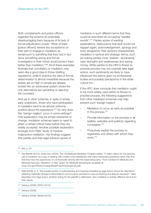Both complainants and police officers regarded the scheme as potentially disadvantaging them because of its lack of formal adjudicatory power: "Most of them [police officers] viewed any acceptance on their part to engage in mediation as tantamount to admitting that they had in fact done something wrong and formal investigation in their minds would protect them better than mediation."269 All of these examples illustrate that conciliation or mediation may seem like a good idea to those drafting regulations, while in practice the idea of formal determination is almost irresistible because the stakes are so high or people are already locked into an adversarial system where the only alternatives are upholding or rejecting the complaint.

And yet in other schemes, in spite of similar early scepticism, those who have participated in mediation tend to be almost uniformly positive about the experience. <sup>270</sup> So why does this 'benign neglect' occur in some settings? One explanation may be simple resistance to change: mediation schemes seem to need to attain a certain critical mass before they are widely accepted. Another possible explanation emerges from Relis' study of medical malpractice mediation. Her findings suggest that parties and their legal advisors spoke of

mediation in such different terms that they could be described as occupying "parallel worlds". <sup>271</sup> Parties spoke of wanting explanations, reassurance that fault would not happen again, acknowledgement, apology and even vengeance; their advisors characterised mediation in tactical and strategic terms, such as making parties more 'realistic', illuminating case strengths and weaknesses and saving money. While parties to the HPC's fitness to practise process may not routinely take legal advice, such sentiments are likely to have influenced the advice given by professional bodies and possibly perceptions in the wider culture too.

If the HPC does conclude that mediation ought to be more widely used within its fitness to practise process, the following suggestions from other mediation schemes may help prevent such 'benign neglect'.

- Mediation to occur as early as possible in the process. 272
- Provide information on the process in all leaflets, websites and publicity regarding complaints. 273
- Proactively explain the process to registrants and others with whom they work. 274

<sup>273</sup> Delvaux (2008).

<sup>269</sup> *Ibid*, p. 24.

<sup>&</sup>lt;sup>270</sup> See Mantle (2010); Jones (ed.) (2004); The US Medicare Mediation Program states: "A major reason for the growing use of mediation as a way of dealing with conflict is the satisfaction that many individuals experience when they find that they have the opportunity to communicate directly with the responding party." From Centers for Medicare and Medicaid Services, *Mediation: A New Option for Medicare Beneficiaries* (available at www.cms.gov/BeneComplaintRespProg/Downloads/3a.pdf)

<sup>&</sup>lt;sup>271</sup> Relis (2009), p. 8: "the parallel worlds of understanding and meaning inhabited by legal actors versus lay disputants, reflecting materially divergent interpretations and functions ascribed to case processing and dispute resolution". Relis describes how legal actors, whether acting for the plaintiff or defendant, view mediation in entirely different terms from their clients.

<sup>272</sup> Delvaux (2008); SPSO (2010).

<sup>274</sup> Delvaux (2008); Mantle (2010).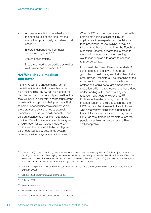- Appoint a 'mediation coordinator' with the specific role of ensuring that the mediation option is fully considered in all cases. 275
- Ensure independence from health service management.<sup>276</sup>
- Assure confidentiality.<sup>277</sup>
- Mediators need to be credible as well as well-trained and accredited.<sup>278</sup>

### **4.4 Who should mediate and how?**

If the HPC were to choose some form of mediation, it is vital that the mediators be of high quality. This Review has highlighted the daunting range of issues and personalities that they will have to deal with, and because of the novelty of this approach their practice is likely to come under considerable scrutiny. While there are some UK schemes to accredit mediators, none is universally accepted, and different settings apply different standards. The Civil Mediation Council operates a system of registration for workplace mediators.<sup>279</sup> In Scotland the Scottish Mediation Register is a self-certified quality assurance system, covering a wide range of mediation types.<sup>280</sup>

When SLCC recruited mediators to deal with complaints against solicitors it invited applications from experienced mediators and then provided in-house training. It may be thought that those who work for the Equalities Mediation Scheme, already accustomed to working in a 'norm advocating' setting, would readily be able to adapt to a fitness to practise context.

In contrast, the Kaiser Permanente MedicOm scheme recruits those with a thorough grounding in healthcare, and trains them to be ombudsmen / mediators. The reasoning of the scheme's founder was that a healthcare professional could be taught ombudsman / mediation skills in three weeks, but that a deep understanding of the healthcare system required many years of experience.<sup>281</sup> Professional mediators may object to this characterisation of their education, but the HPC may also find it useful to look to those who already have significant experience of the activity complained about. It may be that HPC Partners, trained as mediators, are the people most likely to be seen as credible and acceptable.

 $275$  Mantle (2010) states: "I think my own 'mediation coordinator' role has been significant. This is not just a matter of sending out letters, but of conveying the values of mediation, particularly to the Client Relations Partners. Of course I also have to convey that even-handedness to the complainers"; See also Doyle (2006), pp.117–19 for a description of the role of the 'mediation officer' in promoting a new mediation service.

- <sup>276</sup> In Belgian hospitals the role of mediator can no longer be filled by a director, chief clinician or head of department (Delvaux, 2008).
- <sup>277</sup> Delvaux (2008); Boothman and others (2009).
- <sup>278</sup> Delvaux (2008).
- <sup>279</sup> www.cmcregistered.org
- <sup>280</sup> www.scottishmediation.org.uk/mediators/index.asp
- <sup>281</sup> Private conversation with Carole Houk, 11 September 2010.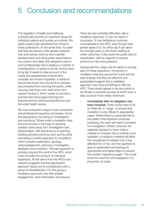# 5 Conclusion and recommendations

The regulation of health and wellbeing professionals touches on important issues for individual patients and society as a whole. We rightly expect high standards from those in these professions. At the same time, it is plain that they are placed under greater pressure than ever before, both by new scientific developments and rising public expectations. Any system that deals with allegations about such professionals has to balance a number of considerations. It needs to be fair, and be seen to be fair. It needs to take account of the needs and perspectives of those who complain and those it regulates. It needs to ensure that those who are not fit to practise are prevented from harming the public, while ensuring that those who need short term support receive it. And it needs to provide a process that encourages learning and improvement for individual practitioners and the wider health service.

We have reviewed a range of both complaints and professional regulatory processes. Some are adjudicatory, focussing on investigation and sanctions. Others insert a mediation step into the process in the hope of diverting suitable cases away from investigation and determination. Still others focus on learning, tackling adverse events as soon as they arise and taking a holistic approach to complaints, which includes explanation, apology, acknowledgement, advocacy, investigation, facilitation and mediation. This last approach is probably beyond the remit of the HPC, which must consider the conduct of individual registrants. At the same time the HPC's own research suggests that the adjudicatory approach leaves some complainants with a sense of dissatisfaction. For this group a mediatory approach may offer greater engagement, more information and closure.

There are also potential difficulties with a mediatory approach. It may not reach a conclusion. It may facilitate an outcome unacceptable to the HPC, even though both parties agree to it. Its critics say it can allow the stronger party to dominate, leading to unfair outcomes. It also lacks the public face of adjudication, with its capacity to publicly pronounce rules and guidance.

Having said this, steps can be taken to remedy each of these objections. The growth in mediation schemes around the world and the early findings that they are effective and appreciated suggest that a mediatory approach may have something to offer the HPC. There would appear to be two points in the fitness to practise process at which such a step could be more widely employed.

– **Immediately after an allegation has been received.** There would need to be an initial sift, or 'triage', to ensure that mediation is only offered in appropriate cases. Where there is a potential risk to the public if the registrant continues practising, the case will need to proceed to investigation. Where, however, the registrant appears to have made a mistake or omission that is unlikely to be repeated, a mediatory meeting will allow the complainant to explain how it has affected him or her, and the registrant to give an explanation and apology (if appropriate) and agree steps to prevent the problem happening again. This could avoid the need for full investigation in a proportion of cases.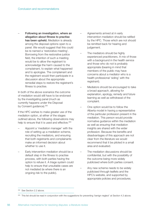– **Following an investigation, where an allegation about fitness to practise has been upheld.** Mediation is already among the disposal options open to a panel. We would suggest that this could be re-named a 'restorative meeting'. Borrowing from the restorative justice field, the intention of such a meeting would be to allow the registrant to acknowledge the harm caused to the complainant, to explain what happened and to apologise. The complainant and the registrant would then participate in a discussion about the appropriate remedial steps to restore the registrant's fitness to practise.

In both of the above scenarios the outcome of mediation would still have to be endorsed by the investigating panel (much as currently happens under the Disposal by Consent guidance).<sup>282</sup>

If the HPC wishes to make greater use of the mediation option, at either of the stages outlined above, the following observations may help to ensure that it is used and effective.<sup>283</sup>

- Appoint a 'mediation manager' with the role of setting up a mediation scheme, recruiting the mediators, and ensuring that both registrants and complainants make an informed decision about whether to use it.
- Early intervention mediation should be a default step in the fitness to practise process, with both parties having the option to refuse it. A triage system could help to ensure that unsuitable cases are not mediated (ie where there is an ongoing risk to the public).
- Agreements arrived at in early intervention mediation should be ratified by the HPC. Those which are not should be remitted back for hearing and judgement.
- The mediators should be highly experienced practitioners. A mix of those with a background in the health service and those who do not is probably appropriate (bearing in mind that members of the public may have concerns about a mediator who is a health professional 'siding' with the registrant).
- Mediators should be encouraged to take a broad approach, allowing for explanation, apology, remedy and future learning as well as withdrawal of the complaint.
- One option would be to follow the Alberta model in having a representative of the particular profession present in the mediation. This person would provide normative guidance within the mediation as well as ensuring that mediation insights are shared with the wider profession. Because the benefits and disadvantages of this approach are not clear from the literature we would recommend that it be piloted in a small area and evaluated.
- The mediation discussions should be confidential, but with the possibility of the outcome being more widely publicised where both parties consent.
- Any new scheme needs to be widely publicised through leaflets and the HPC's website, and supported by appropriate policies and procedures.

<sup>282</sup> See Section 2.2 above.

<sup>&</sup>lt;sup>283</sup> This list should be read in conjunction with the suggestions for preventing 'benign neglect' at Section 4.3 above.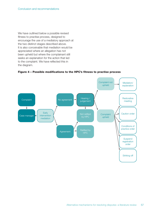We have outlined below a possible revised fitness to practise process, designed to encourage the use of a mediatory approach at the two distinct stages described above. It is also conceivable that mediation would be appreciated where an allegation has not been upheld but where the complainant still seeks an explanation for the action that led to the complaint. We have reflected this in the diagram.

**Figure 4 – Possible modifications to the HPC's fitness to practise process**

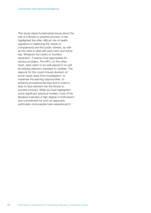This study raises fundamental issues about the role of a fitness to practise process. It has highlighted the often difficult role of health regulators in balancing the needs of complainants and the public interest, as well as the need to deal with past harm and future risk. Whatever the merits of 'frontline resolution', it seems most appropriate for service providers. The HPC, on the other hand, does seem to be well-placed to re-visit its existing statutory mandate to mediate. The reasons for this could include diversion of some cases away from investigation, to maximise the learning opportunities, to enhance procedural fairness and to insert a face-to-face element into the fitness to practise process. While we have highlighted some significant practical hurdles, most of the literature indicates a high degree of enthusiasm and commitment for such an approach, particularly once people have experienced it.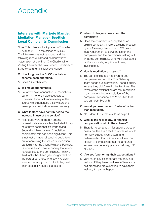# **Appendix**

# **Interview with Marjorie Mantle, Mediation Manager, Scottish Legal Complaints Commission**

Note: This interview took place on Thursday 12 August 2010 in the offices of SLCC. The interview was not recorded and the following record is based on handwritten notes taken at the time. C is Charlie Irvine, Visiting Lecturer, the Law School, University of Strathclyde and M is Marjorie Mantle.

#### **C How long has the SLCC mediation scheme been operating?**

M Since 1 October 2008.

#### **C Tell me about numbers.**

M So far we have conducted 35 mediations, out of 141 where it was suggested. However, if you look more closely at the figures we experienced a slow start and take-up has definitely increased recently.

#### **C What factors have contributed to the increase in use of the service?**

M First of all, word of mouth among professionals – once a few had tried it they must have heard that it's worth trying. Secondly, I think my own 'mediation coordinator' role has been significant. This is not just a matter of sending out letters, but of conveying the values of mediation, particularly to the Client Relations Partners. Of course I also have to convey that evenhandedness to the complainers. I think a third factor has been genuine goodwill on the part of solicitors, who say 'We don't want an unhappy client'. I think they feel their personal integrity is at stake.

#### **C When do lawyers hear about the complaint?**

M Once the complaint is accepted as an eligible complaint. There is a sifting process by our Gateway Team. The SLCC has a legal requirement to serve notice on the complainer and the practitioner, setting out what the complaint is, who will investigate it or, if appropriate, why it is not being investigated.

#### **C How is mediation explained?**

M The same explanation is given to both complainer and solicitor. The Gateway Team sends out information. I send it again, in case they didn't read it the first time. The terms of the explanation are that mediation may help to achieve 'resolution' of the complaint. I describe it as 'a solution that you can both live with'.

#### **C Would you use the term 'redress' rather than resolution?**

M No. I don't think that would be helpful.

#### **C What is the role, if any, of financial compensation within the scheme?**

M There is no set amount for specific types of cases but there is a tariff to which we would normally expect Investigators and Determination Committees to adhere. But I explain to complainers that the amounts involved are generally pretty small, say, £50 or £100.

#### **C Are you 'anchoring' their expectations?**

M Very much so. It's important that they are realistic. If they have paid fees of two and a half grand and are expecting to have them waived, it may not happen.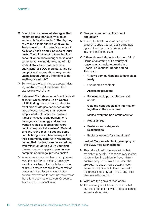- **C One of the documented strategies that mediators use, particularly in court settings, is 'reality testing'. That is, they say to the clients 'Here's what you're likely to end up with, after X months of delay and hassle and Y pounds of legal costs. You might want to take that into account when considering what is a fair settlement.' Having done some of this work, it strikes me that there is no equivalent for SLCC mediators, and so complainers' expectations may remain unchallenged. Are you intending to do anything about this?**
- M Some stats are beginning to appear. I dare say mediators could use them in their discussions with clients.
- **C [I showed Marjorie a quote from Harris et al (2008) which picked up on Genn's (1999) finding that success of dispute resolution strategies depended on the type of case. It states that "people simply wanted to solve the problem rather than secure any punishment, revenge or an apology and so they wanted routes to redress that were quick, cheap and stress-free". Gulland similarly found that in Scotland some people bring a complaint in respect of their community care "with reluctance, hoping their problem can be sorted out with minimum of fuss".] Do you think these comments apply to people who complain about legal professionals?**
- M In my experience a number of complainers want the solicitor 'punished'. A minority want the problem solved with the minimum of fuss. However, and this is the benefit of mediation, when face-to-face with the person they wanted to 'beat up' they realise that this is just another person. Of course, this is just my personal view.

#### **C Can you comment on the role of apologies?**

- M It could be helpful in some sense for a solicitor to apologise without it being held against them by a professional body or insurer if that is the case.
- **C [I then showed Marjorie a list on p.39 of Harris et al setting out a variety of reasons why mediation works in a Special Educational Needs setting. These are:**
	- **– "Allows communications to take place freely**
	- **– Overcomes deadlock**
	- **– Assists negotiations**
	- **– Focuses on important issues and needs**
	- **– Gets the right people and information together at the same time**
	- **– Makes everyone part of the solution**
	- **– Rebuilds trust**
	- **– Restores and safeguards relationships**
	- **– Explores options for mutual gain"**

#### **I asked Marjorie which of these apply to the SLCC mediation scheme]**

M They all apply, with the reservation that mediation may rebuild trust and may restore relationships. In addition to these I think it enables people to draw a line under the episode. It's better than a determination because they have both been involved in the process, so they can kind of say, 'I still disagree with you but....'

#### **C What are the goals of mediation?**

M To seek early resolution of problems that can be sorted out between the people most immediately involved.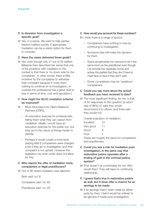#### **C Is diversion from investigation a specific goal?**

M Yes, in a sense. We want to help parties resolve matters quickly. If appropriate, mediation can be a useful option for them to consider.

#### **C Have the cases delivered those goals?**

M Yes, even though only 21 out of 35 settled. [Marjorie then described her sense that one of the problems with mediation in this context is that there is 'no down side for the complainer'. In other words, there is little incentive for the complainer to withdraw their complaint because it costs them nothing to continue on to investigation. In contrast the professional has a great deal to lose in terms of time, cost and reputation.]

#### **C How might the SLCC mediation scheme be improved?**

- M More information for Client Relations Partners (CRPs).
	- An education exercise for professionals, telling them what they can expect from mediation. Ideally I would have an education exercise for the public too, but they are in the nature of things harder to identify.
	- Perhaps it would create a more level playing field if complainers were charged a fee if they go to investigation and their complaint is not upheld. However the legislation we work under does not allow for this.

#### **C Who rejects the offer of mediation more, complainers or legal practitioners?**

M Out of 98 where mediation was rejected:

Both said 'no':8

Complainer said 'no':62

Practitioner said 'no':28

#### **C How would you account for these numbers?**

- M I think there is a range of factors:
	- Complainers have nothing to lose by continuing to investigation.
	- Someone else will make the decision for them.
	- Some are genuinely too nervous to sit in the same room as the practitioner even though I do provide two separate rooms and advise the parties that they don't have to meet face-to-face if they don't wish.
	- Some complainers may be 'vexatious' complainers.

#### **C Could you say more about the actual feedback you have received to date?**

M The most significant finding, for me, is that, of 34 responses to this question [a return rate of 98%] 31 said they would recommend it to others, and three said they would not.

Overall evaluation of mediation: Excellent 15 Very good 11 Good 9 Poor 1

These are roughly the same for complainers and practitioners.

- **C Could you see a role for mediation postinvestigation, in the same way that restorative justice operates after a finding of guilt in the criminal justice system?**
- M That doesn't sit comfortably for me. Why would they? They will have no continuing relationship.

#### **C I guess that's true in restorative justice as well, but it does offer a chance for an apology to be made.**

M If an apology hasn't been made by either party by then, I feel it would be unlikely to be genuine if made post-investigation.